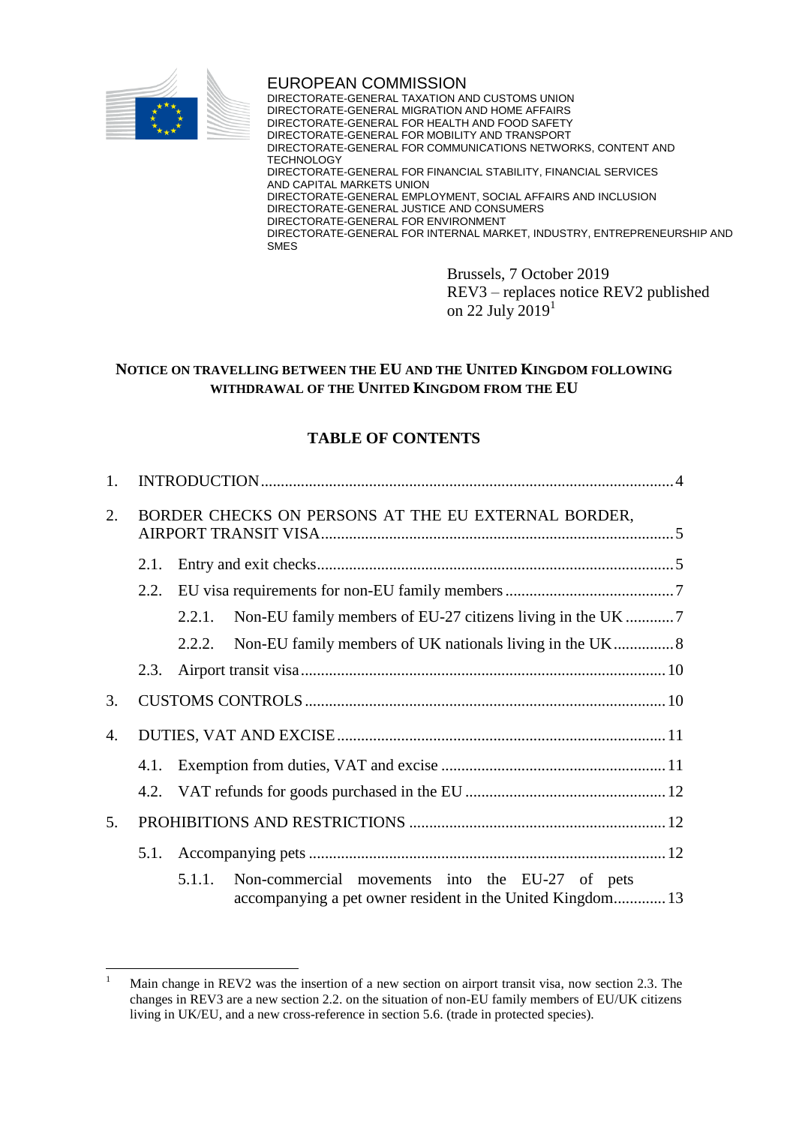

EUROPEAN COMMISSION DIRECTORATE-GENERAL TAXATION AND CUSTOMS UNION DIRECTORATE-GENERAL MIGRATION AND HOME AFFAIRS DIRECTORATE-GENERAL FOR HEALTH AND FOOD SAFETY DIRECTORATE-GENERAL FOR MOBILITY AND TRANSPORT DIRECTORATE-GENERAL FOR COMMUNICATIONS NETWORKS, CONTENT AND **TECHNOLOGY** DIRECTORATE-GENERAL FOR FINANCIAL STABILITY, FINANCIAL SERVICES AND CAPITAL MARKETS UNION DIRECTORATE-GENERAL EMPLOYMENT, SOCIAL AFFAIRS AND INCLUSION DIRECTORATE-GENERAL JUSTICE AND CONSUMERS DIRECTORATE-GENERAL FOR ENVIRONMENT DIRECTORATE-GENERAL FOR INTERNAL MARKET, INDUSTRY, ENTREPRENEURSHIP AND SMES

> Brussels, 7 October 2019 REV3 – replaces notice REV2 published on 22 July  $2019<sup>1</sup>$

# **NOTICE ON TRAVELLING BETWEEN THE EU AND THE UNITED KINGDOM FOLLOWING WITHDRAWAL OF THE UNITED KINGDOM FROM THE EU**

# **TABLE OF CONTENTS**

| 1.                                                        |      |                                                                                                                         |  |  |  |  |
|-----------------------------------------------------------|------|-------------------------------------------------------------------------------------------------------------------------|--|--|--|--|
| BORDER CHECKS ON PERSONS AT THE EU EXTERNAL BORDER,<br>2. |      |                                                                                                                         |  |  |  |  |
|                                                           | 2.1. |                                                                                                                         |  |  |  |  |
|                                                           | 2.2. |                                                                                                                         |  |  |  |  |
|                                                           |      | 2.2.1.                                                                                                                  |  |  |  |  |
|                                                           |      | 2.2.2.                                                                                                                  |  |  |  |  |
|                                                           | 2.3. |                                                                                                                         |  |  |  |  |
| 3.                                                        |      |                                                                                                                         |  |  |  |  |
| 4.                                                        |      |                                                                                                                         |  |  |  |  |
|                                                           | 4.1. |                                                                                                                         |  |  |  |  |
|                                                           | 4.2. |                                                                                                                         |  |  |  |  |
| 5.                                                        |      |                                                                                                                         |  |  |  |  |
|                                                           |      |                                                                                                                         |  |  |  |  |
|                                                           |      | Non-commercial movements into the EU-27 of pets<br>5.1.1.<br>accompanying a pet owner resident in the United Kingdom 13 |  |  |  |  |

 $\bar{1}$ Main change in REV2 was the insertion of a new section on airport transit visa, now section 2.3. The changes in REV3 are a new section 2.2. on the situation of non-EU family members of EU/UK citizens living in UK/EU, and a new cross-reference in section 5.6. (trade in protected species).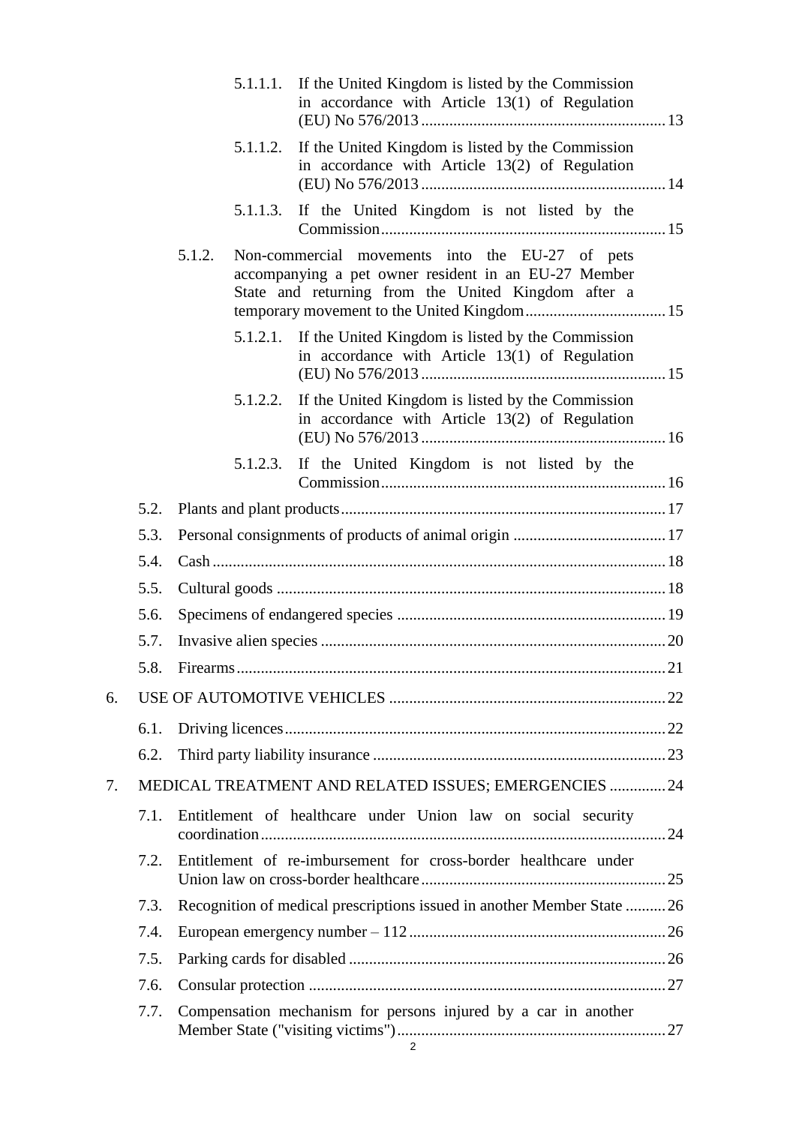|    |      |                                                                        | 5.1.1.1. | If the United Kingdom is listed by the Commission<br>in accordance with Article 13(1) of Regulation                                                            |  |  |
|----|------|------------------------------------------------------------------------|----------|----------------------------------------------------------------------------------------------------------------------------------------------------------------|--|--|
|    |      |                                                                        | 5.1.1.2. | If the United Kingdom is listed by the Commission<br>in accordance with Article 13(2) of Regulation                                                            |  |  |
|    |      |                                                                        | 5.1.1.3. | If the United Kingdom is not listed by the                                                                                                                     |  |  |
|    |      | 5.1.2.                                                                 |          | Non-commercial movements into the EU-27 of pets<br>accompanying a pet owner resident in an EU-27 Member<br>State and returning from the United Kingdom after a |  |  |
|    |      |                                                                        | 5.1.2.1. | If the United Kingdom is listed by the Commission<br>in accordance with Article $13(1)$ of Regulation                                                          |  |  |
|    |      |                                                                        | 5.1.2.2. | If the United Kingdom is listed by the Commission<br>in accordance with Article 13(2) of Regulation                                                            |  |  |
|    |      |                                                                        | 5.1.2.3. | If the United Kingdom is not listed by the                                                                                                                     |  |  |
|    | 5.2. |                                                                        |          |                                                                                                                                                                |  |  |
|    | 5.3. |                                                                        |          |                                                                                                                                                                |  |  |
|    | 5.4. |                                                                        |          |                                                                                                                                                                |  |  |
|    | 5.5. |                                                                        |          |                                                                                                                                                                |  |  |
|    | 5.6. |                                                                        |          |                                                                                                                                                                |  |  |
|    | 5.7. |                                                                        |          |                                                                                                                                                                |  |  |
|    | 58   |                                                                        |          | 21                                                                                                                                                             |  |  |
| 6. |      |                                                                        |          |                                                                                                                                                                |  |  |
|    | 6.1. |                                                                        |          |                                                                                                                                                                |  |  |
|    | 6.2. |                                                                        |          |                                                                                                                                                                |  |  |
| 7. |      | MEDICAL TREATMENT AND RELATED ISSUES; EMERGENCIES  24                  |          |                                                                                                                                                                |  |  |
|    | 7.1. | Entitlement of healthcare under Union law on social security           |          |                                                                                                                                                                |  |  |
|    | 7.2. | Entitlement of re-imbursement for cross-border healthcare under        |          |                                                                                                                                                                |  |  |
|    | 7.3. | Recognition of medical prescriptions issued in another Member State 26 |          |                                                                                                                                                                |  |  |
|    | 7.4. |                                                                        |          |                                                                                                                                                                |  |  |
|    | 7.5. |                                                                        |          |                                                                                                                                                                |  |  |
|    | 7.6. |                                                                        |          |                                                                                                                                                                |  |  |
|    | 7.7. |                                                                        |          | Compensation mechanism for persons injured by a car in another                                                                                                 |  |  |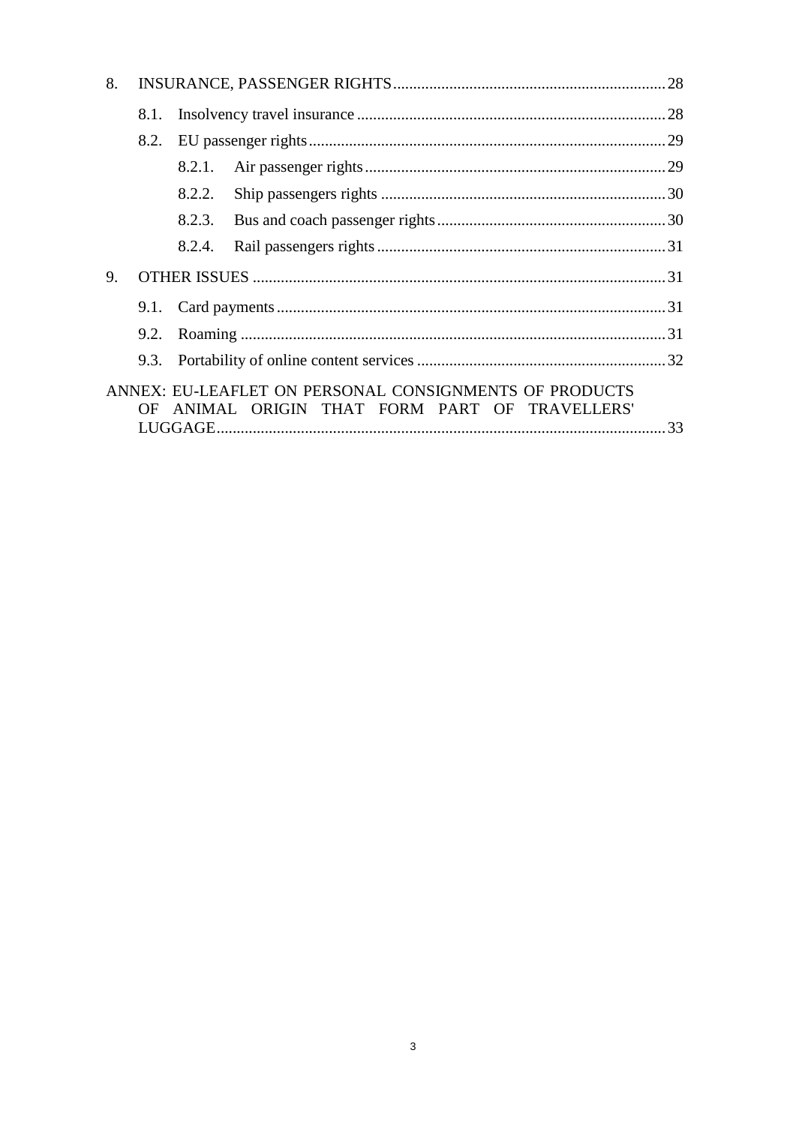| 8.                                             |      |        |                                                        |  |  |
|------------------------------------------------|------|--------|--------------------------------------------------------|--|--|
|                                                | 8.1. |        |                                                        |  |  |
|                                                | 8.2. |        |                                                        |  |  |
|                                                |      | 8.2.1. |                                                        |  |  |
|                                                |      | 8.2.2. |                                                        |  |  |
|                                                |      | 8.2.3. |                                                        |  |  |
|                                                |      | 8.2.4. |                                                        |  |  |
| 9.                                             |      |        |                                                        |  |  |
|                                                |      |        |                                                        |  |  |
|                                                |      |        |                                                        |  |  |
|                                                |      |        |                                                        |  |  |
|                                                |      |        | ANNEX: EU-LEAFLET ON PERSONAL CONSIGNMENTS OF PRODUCTS |  |  |
| OF ANIMAL ORIGIN THAT FORM PART OF TRAVELLERS' |      |        |                                                        |  |  |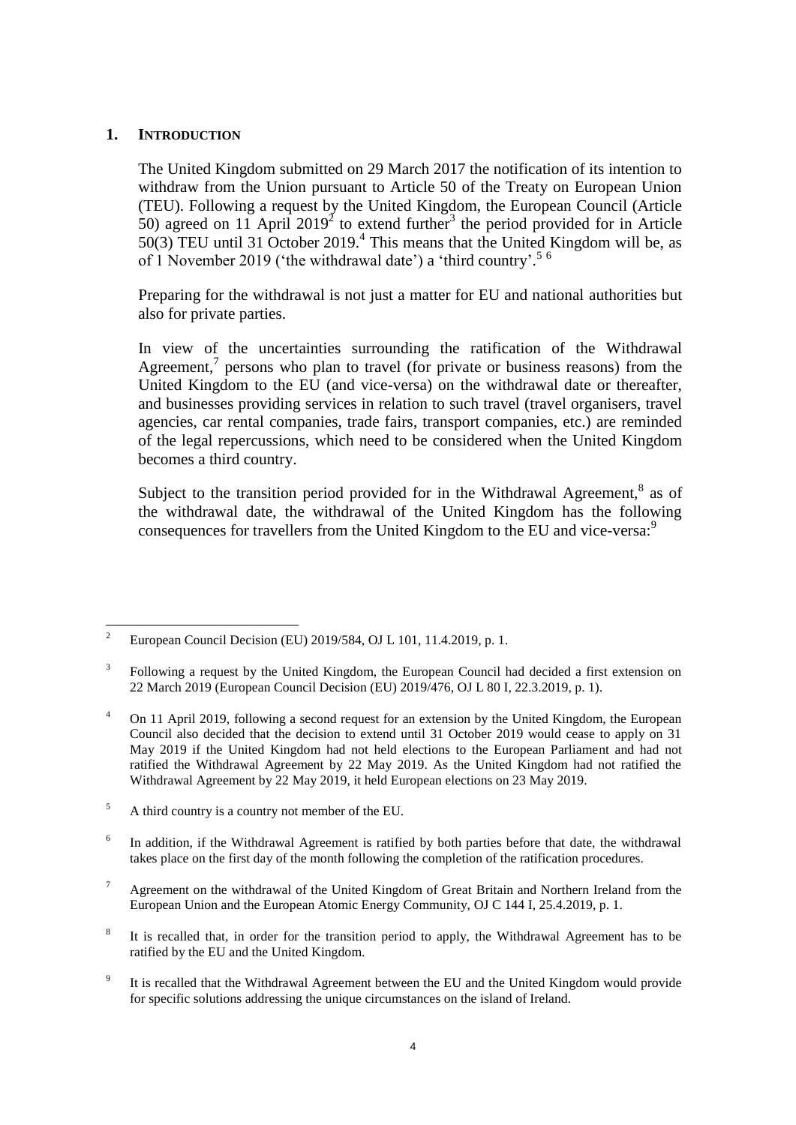### <span id="page-3-0"></span>**1. INTRODUCTION**

The United Kingdom submitted on 29 March 2017 the notification of its intention to withdraw from the Union pursuant to Article 50 of the Treaty on European Union (TEU). Following a request by the United Kingdom, the European Council (Article 50) agreed on 11 April 2019<sup>2</sup> to extend further<sup>3</sup> the period provided for in Article  $50(3)$  TEU until 31 October 2019.<sup>4</sup> This means that the United Kingdom will be, as of 1 November 2019 ('the withdrawal date') a 'third country'.<sup>56</sup>

Preparing for the withdrawal is not just a matter for EU and national authorities but also for private parties.

In view of the uncertainties surrounding the ratification of the Withdrawal Agreement,<sup>7</sup> persons who plan to travel (for private or business reasons) from the United Kingdom to the EU (and vice-versa) on the withdrawal date or thereafter, and businesses providing services in relation to such travel (travel organisers, travel agencies, car rental companies, trade fairs, transport companies, etc.) are reminded of the legal repercussions, which need to be considered when the United Kingdom becomes a third country.

Subject to the transition period provided for in the Withdrawal Agreement, $^8$  as of the withdrawal date, the withdrawal of the United Kingdom has the following consequences for travellers from the United Kingdom to the EU and vice-versa:<sup>9</sup>

- <sup>5</sup> A third country is a country not member of the EU.
- 6 In addition, if the Withdrawal Agreement is ratified by both parties before that date, the withdrawal takes place on the first day of the month following the completion of the ratification procedures.
- <sup>7</sup> Agreement on the withdrawal of the United Kingdom of Great Britain and Northern Ireland from the European Union and the European Atomic Energy Community, OJ C 144 I, 25.4.2019, p. 1.
- 8 It is recalled that, in order for the transition period to apply, the Withdrawal Agreement has to be ratified by the EU and the United Kingdom.
- 9 It is recalled that the Withdrawal Agreement between the EU and the United Kingdom would provide for specific solutions addressing the unique circumstances on the island of Ireland.

 $\overline{\mathcal{L}}$ <sup>2</sup> European Council Decision (EU) 2019/584, OJ L 101, 11.4.2019, p. 1.

<sup>3</sup> Following a request by the United Kingdom, the European Council had decided a first extension on 22 March 2019 (European Council Decision (EU) 2019/476, OJ L 80 I, 22.3.2019, p. 1).

<sup>&</sup>lt;sup>4</sup> On 11 April 2019, following a second request for an extension by the United Kingdom, the European Council also decided that the decision to extend until 31 October 2019 would cease to apply on 31 May 2019 if the United Kingdom had not held elections to the European Parliament and had not ratified the Withdrawal Agreement by 22 May 2019. As the United Kingdom had not ratified the Withdrawal Agreement by 22 May 2019, it held European elections on 23 May 2019.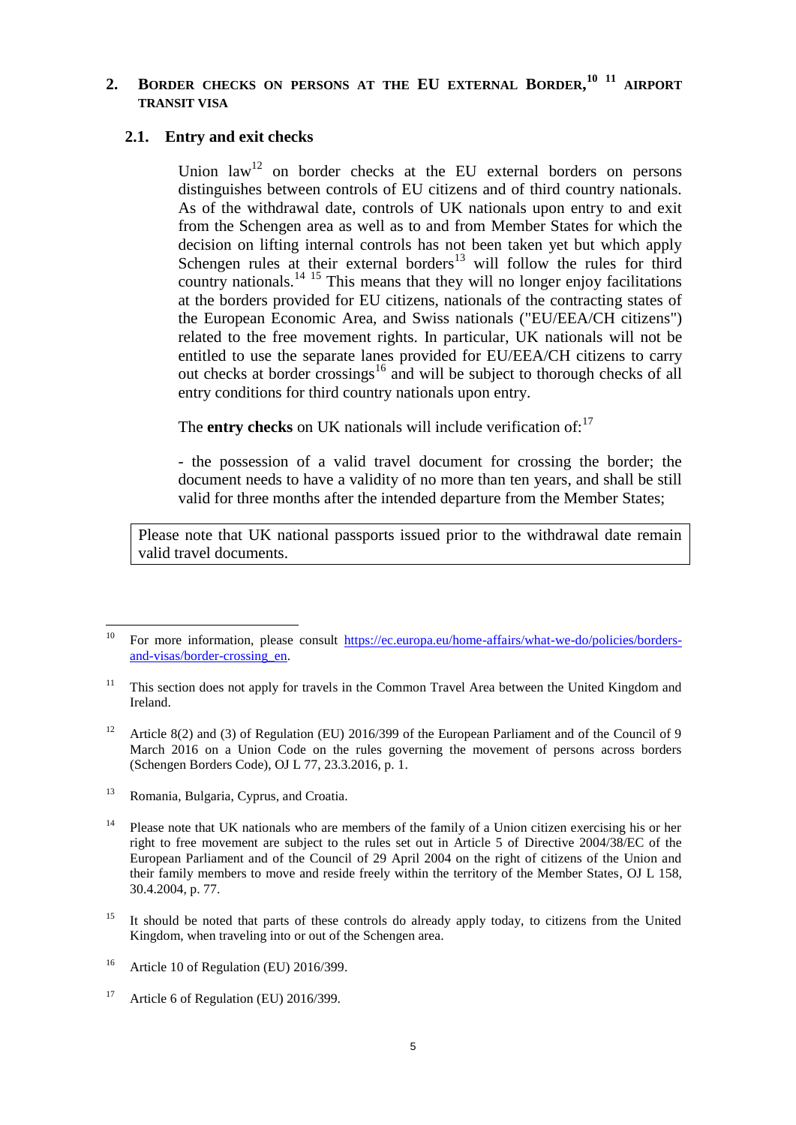# <span id="page-4-0"></span>**2. BORDER CHECKS ON PERSONS AT THE EU EXTERNAL BORDER, <sup>10</sup> <sup>11</sup> AIRPORT TRANSIT VISA**

#### <span id="page-4-1"></span>**2.1. Entry and exit checks**

Union  $law<sup>12</sup>$  on border checks at the EU external borders on persons distinguishes between controls of EU citizens and of third country nationals. As of the withdrawal date, controls of UK nationals upon entry to and exit from the Schengen area as well as to and from Member States for which the decision on lifting internal controls has not been taken yet but which apply Schengen rules at their external borders<sup>13</sup> will follow the rules for third country nationals. $14 \frac{15}{15}$  This means that they will no longer enjoy facilitations at the borders provided for EU citizens, nationals of the contracting states of the European Economic Area, and Swiss nationals ("EU/EEA/CH citizens") related to the free movement rights. In particular, UK nationals will not be entitled to use the separate lanes provided for EU/EEA/CH citizens to carry out checks at border crossings<sup>16</sup> and will be subject to thorough checks of all entry conditions for third country nationals upon entry.

The **entry checks** on UK nationals will include verification of:<sup>17</sup>

- the possession of a valid travel document for crossing the border; the document needs to have a validity of no more than ten years, and shall be still valid for three months after the intended departure from the Member States;

Please note that UK national passports issued prior to the withdrawal date remain valid travel documents.

<sup>13</sup> Romania, Bulgaria, Cyprus, and Croatia.

- <sup>15</sup> It should be noted that parts of these controls do already apply today, to citizens from the United Kingdom, when traveling into or out of the Schengen area.
- <sup>16</sup> Article 10 of Regulation (EU) 2016/399.

<sup>10</sup> <sup>10</sup> For more information, please consult [https://ec.europa.eu/home-affairs/what-we-do/policies/borders](https://ec.europa.eu/home-affairs/what-we-do/policies/borders-and-visas/border-crossing_en)[and-visas/border-crossing\\_en.](https://ec.europa.eu/home-affairs/what-we-do/policies/borders-and-visas/border-crossing_en)

 $11$  This section does not apply for travels in the Common Travel Area between the United Kingdom and Ireland.

<sup>&</sup>lt;sup>12</sup> Article 8(2) and (3) of Regulation (EU) 2016/399 of the European Parliament and of the Council of 9 March 2016 on a Union Code on the rules governing the movement of persons across borders (Schengen Borders Code), OJ L 77, 23.3.2016, p. 1.

<sup>&</sup>lt;sup>14</sup> Please note that UK nationals who are members of the family of a Union citizen exercising his or her right to free movement are subject to the rules set out in Article 5 of Directive 2004/38/EC of the European Parliament and of the Council of 29 April 2004 on the right of citizens of the Union and their family members to move and reside freely within the territory of the Member States, OJ L 158, 30.4.2004, p. 77.

<sup>&</sup>lt;sup>17</sup> Article 6 of Regulation (EU) 2016/399.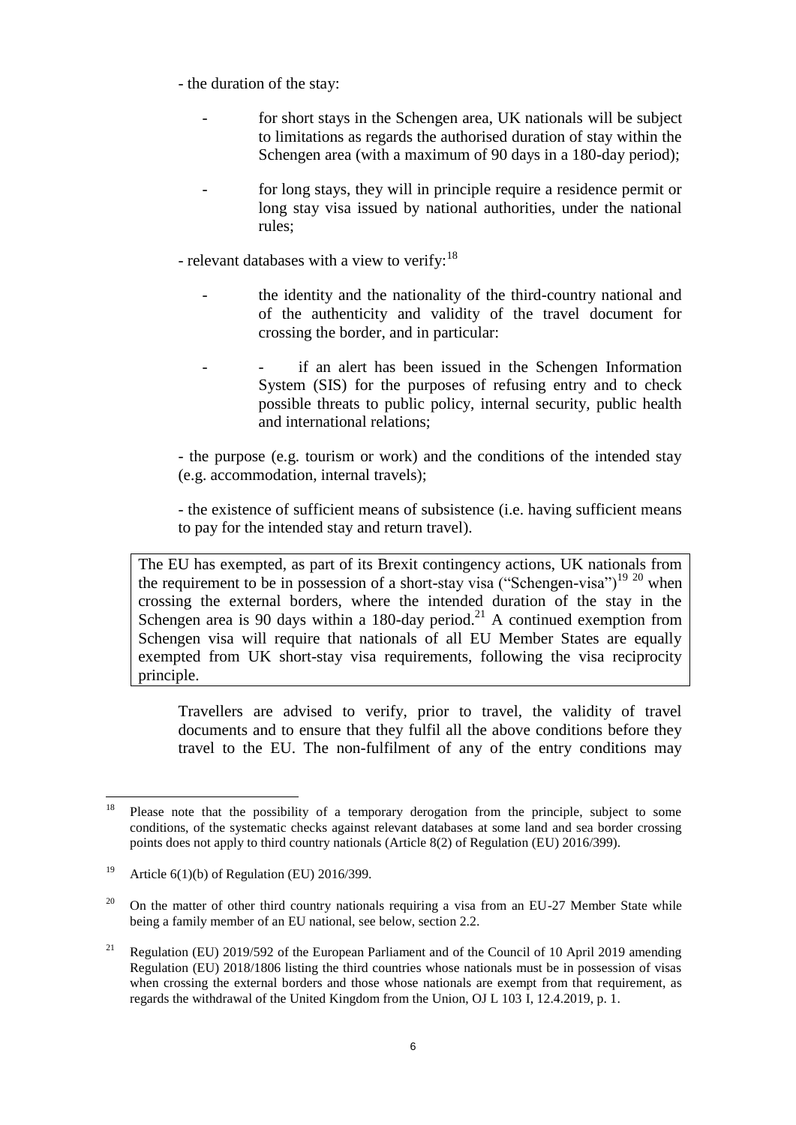- the duration of the stay:

- for short stays in the Schengen area, UK nationals will be subject to limitations as regards the authorised duration of stay within the Schengen area (with a maximum of 90 days in a 180-day period);
- for long stays, they will in principle require a residence permit or long stay visa issued by national authorities, under the national rules;

- relevant databases with a view to verify:<sup>18</sup>

- the identity and the nationality of the third-country national and of the authenticity and validity of the travel document for crossing the border, and in particular:
- if an alert has been issued in the Schengen Information System (SIS) for the purposes of refusing entry and to check possible threats to public policy, internal security, public health and international relations;

- the purpose (e.g. tourism or work) and the conditions of the intended stay (e.g. accommodation, internal travels);

- the existence of sufficient means of subsistence (i.e. having sufficient means to pay for the intended stay and return travel).

The EU has exempted, as part of its Brexit contingency actions, UK nationals from the requirement to be in possession of a short-stay visa ("Schengen-visa")<sup>19 20</sup> when crossing the external borders, where the intended duration of the stay in the Schengen area is 90 days within a 180-day period.<sup>21</sup> A continued exemption from Schengen visa will require that nationals of all EU Member States are equally exempted from UK short-stay visa requirements, following the visa reciprocity principle.

Travellers are advised to verify, prior to travel, the validity of travel documents and to ensure that they fulfil all the above conditions before they travel to the EU. The non-fulfilment of any of the entry conditions may

 $18\,$ <sup>18</sup> Please note that the possibility of a temporary derogation from the principle, subject to some conditions, of the systematic checks against relevant databases at some land and sea border crossing points does not apply to third country nationals (Article 8(2) of Regulation (EU) 2016/399).

<sup>&</sup>lt;sup>19</sup> Article 6(1)(b) of Regulation (EU) 2016/399.

<sup>&</sup>lt;sup>20</sup> On the matter of other third country nationals requiring a visa from an EU-27 Member State while being a family member of an EU national, see below, section 2.2.

<sup>&</sup>lt;sup>21</sup> Regulation (EU) 2019/592 of the European Parliament and of the Council of 10 April 2019 amending Regulation (EU) 2018/1806 listing the third countries whose nationals must be in possession of visas when crossing the external borders and those whose nationals are exempt from that requirement, as regards the withdrawal of the United Kingdom from the Union, OJ L 103 I, 12.4.2019, p. 1.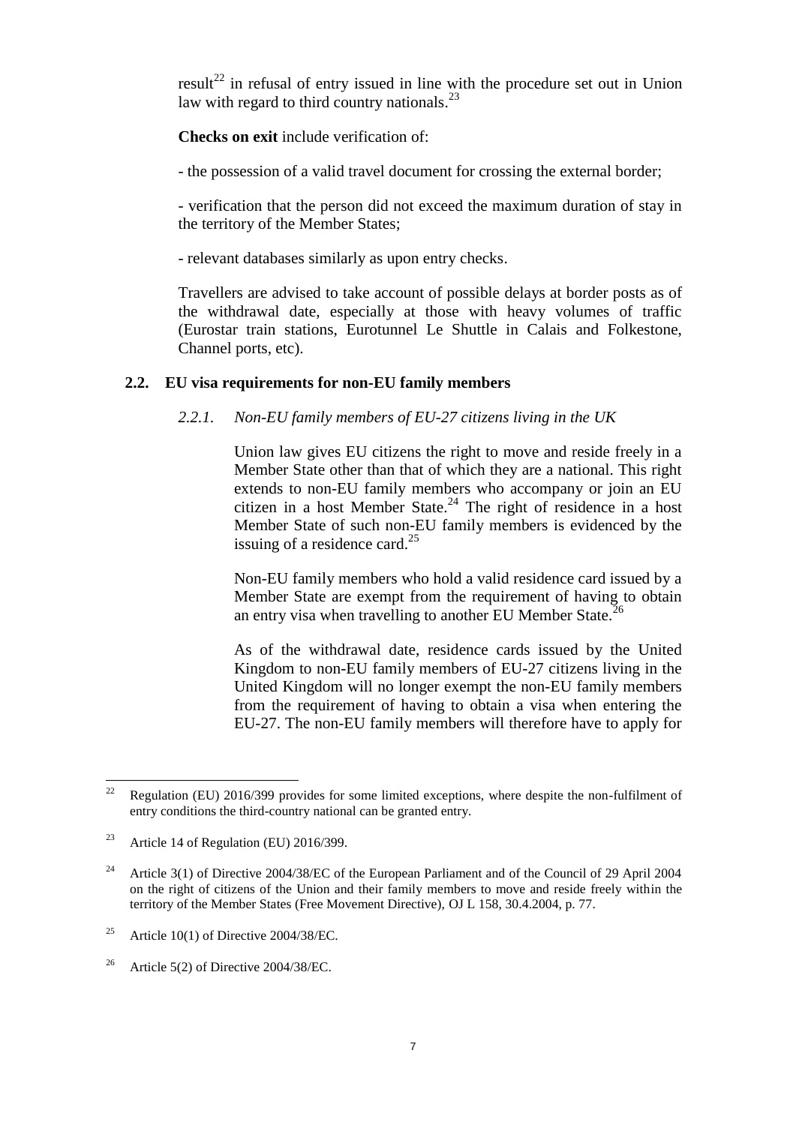$result^{22}$  in refusal of entry issued in line with the procedure set out in Union law with regard to third country nationals.<sup>23</sup>

**Checks on exit** include verification of:

- the possession of a valid travel document for crossing the external border;

- verification that the person did not exceed the maximum duration of stay in the territory of the Member States;

- relevant databases similarly as upon entry checks.

Travellers are advised to take account of possible delays at border posts as of the withdrawal date, especially at those with heavy volumes of traffic (Eurostar train stations, Eurotunnel Le Shuttle in Calais and Folkestone, Channel ports, etc).

### <span id="page-6-1"></span><span id="page-6-0"></span>**2.2. EU visa requirements for non-EU family members**

### *2.2.1. Non-EU family members of EU-27 citizens living in the UK*

Union law gives EU citizens the right to move and reside freely in a Member State other than that of which they are a national. This right extends to non-EU family members who accompany or join an EU citizen in a host Member State. $24$  The right of residence in a host Member State of such non-EU family members is evidenced by the issuing of a residence card.<sup>25</sup>

Non-EU family members who hold a valid residence card issued by a Member State are exempt from the requirement of having to obtain an entry visa when travelling to another EU Member State.<sup>26</sup>

As of the withdrawal date, residence cards issued by the United Kingdom to non-EU family members of EU-27 citizens living in the United Kingdom will no longer exempt the non-EU family members from the requirement of having to obtain a visa when entering the EU-27. The non-EU family members will therefore have to apply for

 $22$ Regulation (EU) 2016/399 provides for some limited exceptions, where despite the non-fulfilment of entry conditions the third-country national can be granted entry.

<sup>&</sup>lt;sup>23</sup> Article 14 of Regulation (EU) 2016/399.

<sup>&</sup>lt;sup>24</sup> Article 3(1) of Directive 2004/38/EC of the European Parliament and of the Council of 29 April 2004 on the right of citizens of the Union and their family members to move and reside freely within the territory of the Member States (Free Movement Directive), OJ L 158, 30.4.2004, p. 77.

<sup>&</sup>lt;sup>25</sup> Article 10(1) of Directive 2004/38/EC.

<sup>&</sup>lt;sup>26</sup> Article 5(2) of Directive 2004/38/EC.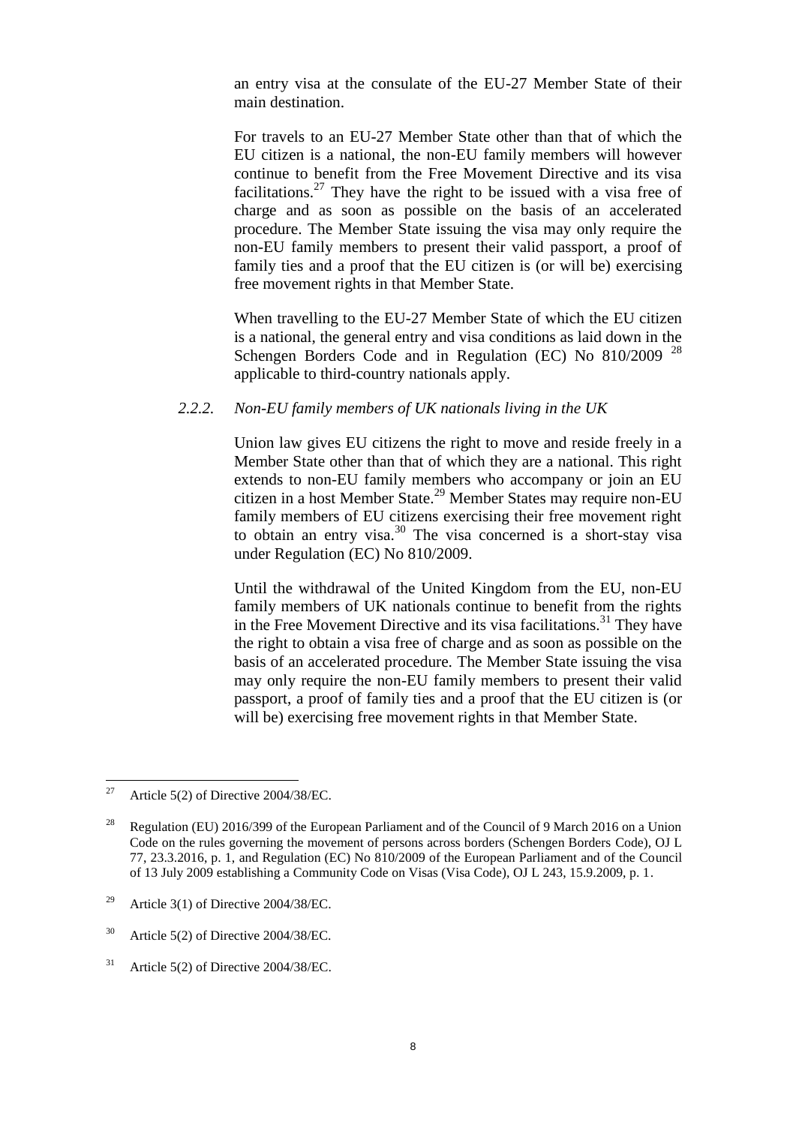an entry visa at the consulate of the EU-27 Member State of their main destination.

For travels to an EU-27 Member State other than that of which the EU citizen is a national, the non-EU family members will however continue to benefit from the Free Movement Directive and its visa facilitations.<sup>27</sup> They have the right to be issued with a visa free of charge and as soon as possible on the basis of an accelerated procedure. The Member State issuing the visa may only require the non-EU family members to present their valid passport, a proof of family ties and a proof that the EU citizen is (or will be) exercising free movement rights in that Member State.

When travelling to the EU-27 Member State of which the EU citizen is a national, the general entry and visa conditions as laid down in the Schengen Borders Code and in Regulation (EC) No 810/2009<sup>28</sup> applicable to third-country nationals apply.

#### <span id="page-7-0"></span>*2.2.2. Non-EU family members of UK nationals living in the UK*

Union law gives EU citizens the right to move and reside freely in a Member State other than that of which they are a national. This right extends to non-EU family members who accompany or join an EU citizen in a host Member State.<sup>29</sup> Member States may require non-EU family members of EU citizens exercising their free movement right to obtain an entry visa.<sup>30</sup> The visa concerned is a short-stay visa under Regulation (EC) No 810/2009.

Until the withdrawal of the United Kingdom from the EU, non-EU family members of UK nationals continue to benefit from the rights in the Free Movement Directive and its visa facilitations.<sup>31</sup> They have the right to obtain a visa free of charge and as soon as possible on the basis of an accelerated procedure. The Member State issuing the visa may only require the non-EU family members to present their valid passport, a proof of family ties and a proof that the EU citizen is (or will be) exercising free movement rights in that Member State.

 $27$ Article 5(2) of Directive 2004/38/EC.

<sup>&</sup>lt;sup>28</sup> Regulation (EU) 2016/399 of the European Parliament and of the Council of 9 March 2016 on a Union Code on the rules governing the movement of persons across borders (Schengen Borders Code), OJ L 77, 23.3.2016, p. 1, and Regulation (EC) No 810/2009 of the European Parliament and of the Council of 13 July 2009 establishing a Community Code on Visas (Visa Code), OJ L 243, 15.9.2009, p. 1.

<sup>&</sup>lt;sup>29</sup> Article 3(1) of Directive 2004/38/EC.

 $30$  Article 5(2) of Directive 2004/38/EC.

 $31$  Article 5(2) of Directive 2004/38/EC.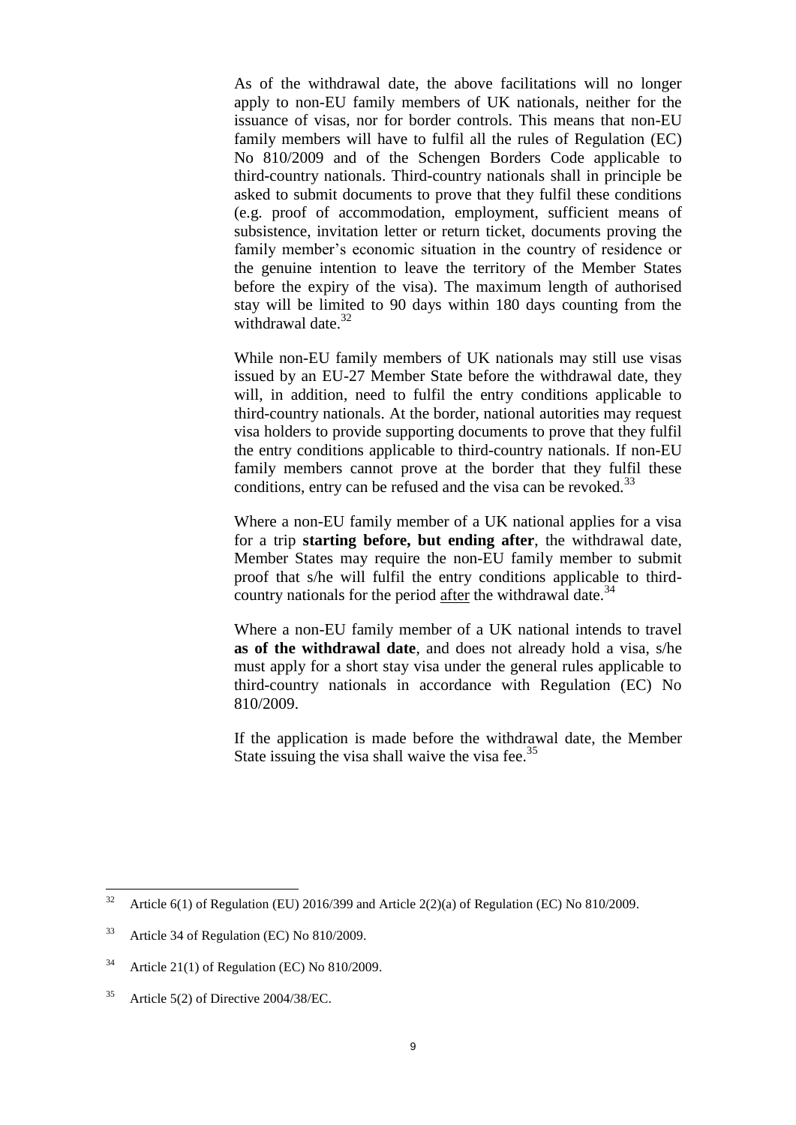As of the withdrawal date, the above facilitations will no longer apply to non-EU family members of UK nationals, neither for the issuance of visas, nor for border controls. This means that non-EU family members will have to fulfil all the rules of Regulation (EC) No 810/2009 and of the Schengen Borders Code applicable to third-country nationals. Third-country nationals shall in principle be asked to submit documents to prove that they fulfil these conditions (e.g. proof of accommodation, employment, sufficient means of subsistence, invitation letter or return ticket, documents proving the family member's economic situation in the country of residence or the genuine intention to leave the territory of the Member States before the expiry of the visa). The maximum length of authorised stay will be limited to 90 days within 180 days counting from the withdrawal date.<sup>32</sup>

While non-EU family members of UK nationals may still use visas issued by an EU-27 Member State before the withdrawal date, they will, in addition, need to fulfil the entry conditions applicable to third-country nationals. At the border, national autorities may request visa holders to provide supporting documents to prove that they fulfil the entry conditions applicable to third-country nationals. If non-EU family members cannot prove at the border that they fulfil these conditions, entry can be refused and the visa can be revoked.<sup>33</sup>

Where a non-EU family member of a UK national applies for a visa for a trip **starting before, but ending after**, the withdrawal date, Member States may require the non-EU family member to submit proof that s/he will fulfil the entry conditions applicable to thirdcountry nationals for the period after the withdrawal date.<sup>34</sup>

Where a non-EU family member of a UK national intends to travel **as of the withdrawal date**, and does not already hold a visa, s/he must apply for a short stay visa under the general rules applicable to third-country nationals in accordance with Regulation (EC) No 810/2009.

If the application is made before the withdrawal date, the Member State issuing the visa shall waive the visa fee.  $35$ 

<sup>32</sup> Article  $6(1)$  of Regulation (EU) 2016/399 and Article 2(2)(a) of Regulation (EC) No 810/2009.

<sup>&</sup>lt;sup>33</sup> Article 34 of Regulation (EC) No 810/2009.

<sup>&</sup>lt;sup>34</sup> Article 21(1) of Regulation (EC) No  $810/2009$ .

<sup>&</sup>lt;sup>35</sup> Article 5(2) of Directive 2004/38/EC.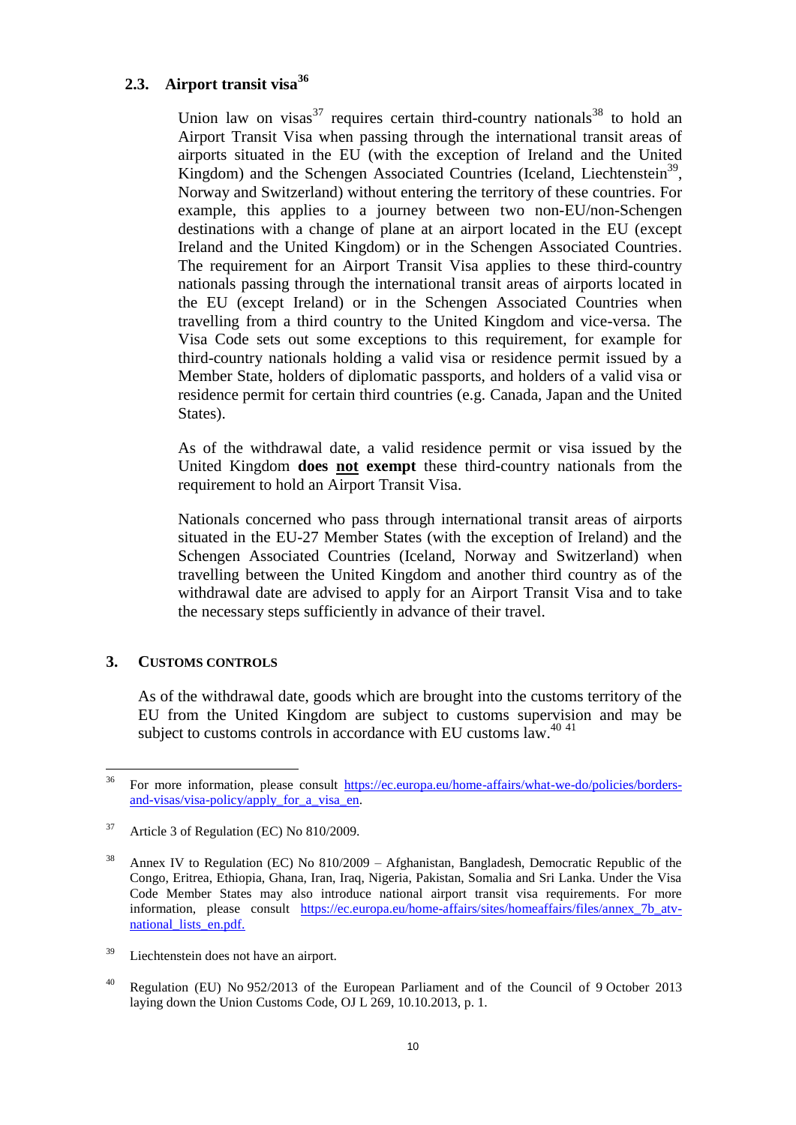# <span id="page-9-0"></span>**2.3. Airport transit visa<sup>36</sup>**

Union law on visas<sup>37</sup> requires certain third-country nationals<sup>38</sup> to hold an Airport Transit Visa when passing through the international transit areas of airports situated in the EU (with the exception of Ireland and the United Kingdom) and the Schengen Associated Countries (Iceland, Liechtenstein<sup>39</sup>, Norway and Switzerland) without entering the territory of these countries. For example, this applies to a journey between two non-EU/non-Schengen destinations with a change of plane at an airport located in the EU (except Ireland and the United Kingdom) or in the Schengen Associated Countries. The requirement for an Airport Transit Visa applies to these third-country nationals passing through the international transit areas of airports located in the EU (except Ireland) or in the Schengen Associated Countries when travelling from a third country to the United Kingdom and vice-versa. The Visa Code sets out some exceptions to this requirement, for example for third-country nationals holding a valid visa or residence permit issued by a Member State, holders of diplomatic passports, and holders of a valid visa or residence permit for certain third countries (e.g. Canada, Japan and the United States).

As of the withdrawal date, a valid residence permit or visa issued by the United Kingdom **does not exempt** these third-country nationals from the requirement to hold an Airport Transit Visa.

Nationals concerned who pass through international transit areas of airports situated in the EU-27 Member States (with the exception of Ireland) and the Schengen Associated Countries (Iceland, Norway and Switzerland) when travelling between the United Kingdom and another third country as of the withdrawal date are advised to apply for an Airport Transit Visa and to take the necessary steps sufficiently in advance of their travel.

### <span id="page-9-1"></span>**3. CUSTOMS CONTROLS**

As of the withdrawal date, goods which are brought into the customs territory of the EU from the United Kingdom are subject to customs supervision and may be subject to customs controls in accordance with EU customs law.<sup>40 41</sup>

<sup>36</sup> <sup>36</sup> For more information, please consult [https://ec.europa.eu/home-affairs/what-we-do/policies/borders](https://ec.europa.eu/home-affairs/what-we-do/policies/borders-and-visas/visa-policy/apply_for_a_visa_en)[and-visas/visa-policy/apply\\_for\\_a\\_visa\\_en.](https://ec.europa.eu/home-affairs/what-we-do/policies/borders-and-visas/visa-policy/apply_for_a_visa_en)

<sup>37</sup> Article 3 of Regulation (EC) No 810/2009.

<sup>&</sup>lt;sup>38</sup> Annex IV to Regulation (EC) No  $810/2009$  – Afghanistan, Bangladesh, Democratic Republic of the Congo, Eritrea, Ethiopia, Ghana, Iran, Iraq, Nigeria, Pakistan, Somalia and Sri Lanka. Under the Visa Code Member States may also introduce national airport transit visa requirements. For more information, please consult [https://ec.europa.eu/home-affairs/sites/homeaffairs/files/annex\\_7b\\_atv](https://ec.europa.eu/home-affairs/sites/homeaffairs/files/annex_7b_atv-national_lists_en.pdf)[national\\_lists\\_en.pdf.](https://ec.europa.eu/home-affairs/sites/homeaffairs/files/annex_7b_atv-national_lists_en.pdf)

<sup>&</sup>lt;sup>39</sup> Liechtenstein does not have an airport.

<sup>&</sup>lt;sup>40</sup> Regulation (EU) No 952/2013 of the European Parliament and of the Council of 9 October 2013 laying down the Union Customs Code, OJ L 269, 10.10.2013, p. 1.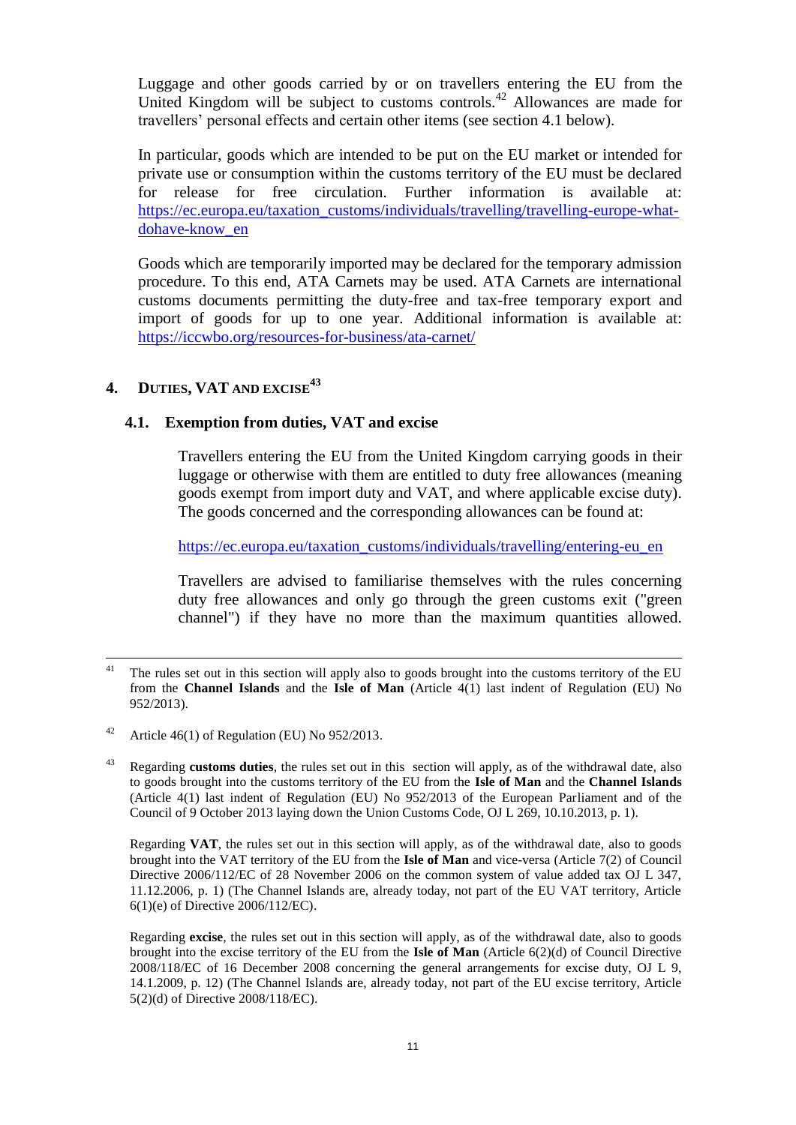Luggage and other goods carried by or on travellers entering the EU from the United Kingdom will be subject to customs controls.<sup>42</sup> Allowances are made for travellers' personal effects and certain other items (see section 4.1 below).

In particular, goods which are intended to be put on the EU market or intended for private use or consumption within the customs territory of the EU must be declared for release for free circulation. Further information is available at: [https://ec.europa.eu/taxation\\_customs/individuals/travelling/travelling-europe-what](https://ec.europa.eu/taxation_customs/individuals/travelling/travelling-europe-what-dohave-know_en)[dohave-know\\_en](https://ec.europa.eu/taxation_customs/individuals/travelling/travelling-europe-what-dohave-know_en)

Goods which are temporarily imported may be declared for the temporary admission procedure. To this end, ATA Carnets may be used. ATA Carnets are international customs documents permitting the duty-free and tax-free temporary export and import of goods for up to one year. Additional information is available at: <https://iccwbo.org/resources-for-business/ata-carnet/>

# <span id="page-10-0"></span>**4. DUTIES, VAT AND EXCISE<sup>43</sup>**

### <span id="page-10-1"></span>**4.1. Exemption from duties, VAT and excise**

Travellers entering the EU from the United Kingdom carrying goods in their luggage or otherwise with them are entitled to duty free allowances (meaning goods exempt from import duty and VAT, and where applicable excise duty). The goods concerned and the corresponding allowances can be found at:

[https://ec.europa.eu/taxation\\_customs/individuals/travelling/entering-eu\\_en](https://ec.europa.eu/taxation_customs/individuals/travelling/entering-eu_en)

Travellers are advised to familiarise themselves with the rules concerning duty free allowances and only go through the green customs exit ("green channel") if they have no more than the maximum quantities allowed.

- <sup>42</sup> Article 46(1) of Regulation (EU) No  $952/2013$ .
- <sup>43</sup> Regarding **customs duties**, the rules set out in this section will apply, as of the withdrawal date, also to goods brought into the customs territory of the EU from the **Isle of Man** and the **Channel Islands** (Article 4(1) last indent of Regulation (EU) No 952/2013 of the European Parliament and of the Council of 9 October 2013 laying down the Union Customs Code, OJ L 269, 10.10.2013, p. 1).

Regarding **VAT**, the rules set out in this section will apply, as of the withdrawal date, also to goods brought into the VAT territory of the EU from the **Isle of Man** and vice-versa (Article 7(2) of Council Directive 2006/112/EC of 28 November 2006 on the common system of value added tax OJ L 347, 11.12.2006, p. 1) (The Channel Islands are, already today, not part of the EU VAT territory, Article 6(1)(e) of Directive 2006/112/EC).

Regarding **excise**, the rules set out in this section will apply, as of the withdrawal date, also to goods brought into the excise territory of the EU from the **Isle of Man** (Article 6(2)(d) of Council Directive 2008/118/EC of 16 December 2008 concerning the general arrangements for excise duty, OJ L 9, 14.1.2009, p. 12) (The Channel Islands are, already today, not part of the EU excise territory, Article 5(2)(d) of Directive 2008/118/EC).

 $41$ The rules set out in this section will apply also to goods brought into the customs territory of the EU from the **Channel Islands** and the **Isle of Man** (Article 4(1) last indent of Regulation (EU) No 952/2013).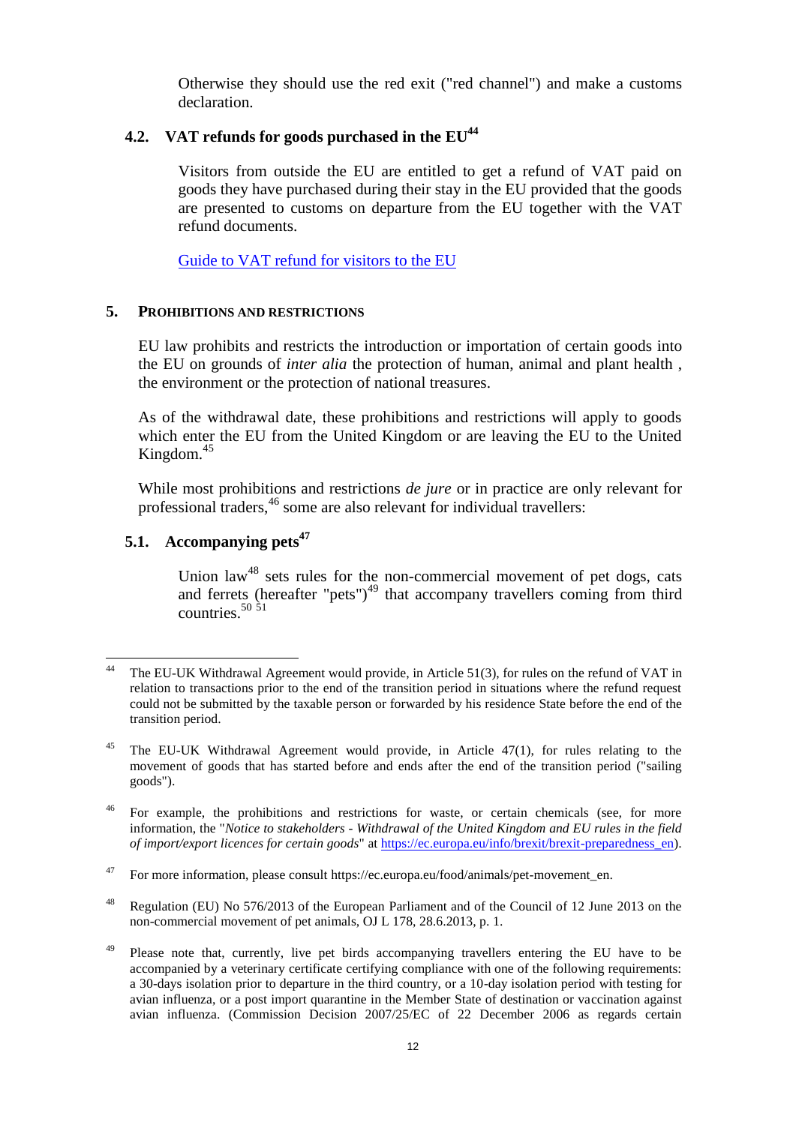Otherwise they should use the red exit ("red channel") and make a customs declaration.

### <span id="page-11-0"></span>**4.2. VAT refunds for goods purchased in the EU<sup>44</sup>**

Visitors from outside the EU are entitled to get a refund of VAT paid on goods they have purchased during their stay in the EU provided that the goods are presented to customs on departure from the EU together with the VAT refund documents.

[Guide to VAT refund for visitors to the EU](https://ec.europa.eu/taxation_customs/individuals/travelling/travellers-leaving-eu/guide-vat-refund-visitors-eu_en)

### <span id="page-11-1"></span>**5. PROHIBITIONS AND RESTRICTIONS**

EU law prohibits and restricts the introduction or importation of certain goods into the EU on grounds of *inter alia* the protection of human, animal and plant health , the environment or the protection of national treasures.

As of the withdrawal date, these prohibitions and restrictions will apply to goods which enter the EU from the United Kingdom or are leaving the EU to the United Kingdom. 45

While most prohibitions and restrictions *de jure* or in practice are only relevant for professional traders,<sup>46</sup> some are also relevant for individual travellers:

# <span id="page-11-2"></span>**5.1. Accompanying pets<sup>47</sup>**

Union law<sup>48</sup> sets rules for the non-commercial movement of pet dogs, cats and ferrets (hereafter "pets") $^{49}$  that accompany travellers coming from third countries. 50 51

 $44$ The EU-UK Withdrawal Agreement would provide, in Article 51(3), for rules on the refund of VAT in relation to transactions prior to the end of the transition period in situations where the refund request could not be submitted by the taxable person or forwarded by his residence State before the end of the transition period.

<sup>&</sup>lt;sup>45</sup> The EU-UK Withdrawal Agreement would provide, in Article 47(1), for rules relating to the movement of goods that has started before and ends after the end of the transition period ("sailing goods").

<sup>&</sup>lt;sup>46</sup> For example, the prohibitions and restrictions for waste, or certain chemicals (see, for more information, the "*Notice to stakeholders - Withdrawal of the United Kingdom and EU rules in the field of import/export licences for certain goods*" at [https://ec.europa.eu/info/brexit/brexit-preparedness\\_en\)](https://ec.europa.eu/info/brexit/brexit-preparedness_en).

<sup>47</sup> For more information, please consult https://ec.europa.eu/food/animals/pet-movement\_en.

<sup>&</sup>lt;sup>48</sup> Regulation (EU) No 576/2013 of the European Parliament and of the Council of 12 June 2013 on the non-commercial movement of pet animals, OJ L 178, 28.6.2013, p. 1.

<sup>49</sup> Please note that, currently, live pet birds accompanying travellers entering the EU have to be accompanied by a veterinary certificate certifying compliance with one of the following requirements: a 30-days isolation prior to departure in the third country, or a 10-day isolation period with testing for avian influenza, or a post import quarantine in the Member State of destination or vaccination against avian influenza. (Commission Decision 2007/25/EC of 22 December 2006 as regards certain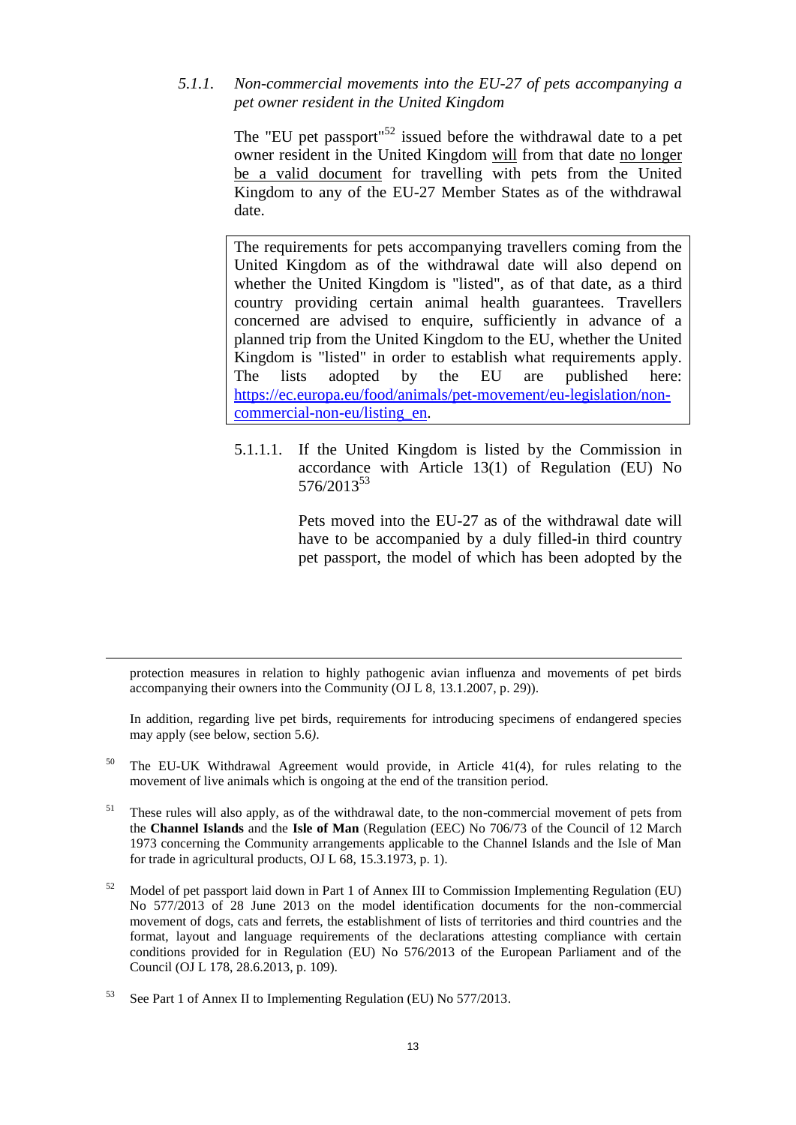<span id="page-12-0"></span>*5.1.1. Non-commercial movements into the EU-27 of pets accompanying a pet owner resident in the United Kingdom*

> The "EU pet passport"<sup>52</sup> issued before the withdrawal date to a pet owner resident in the United Kingdom will from that date no longer be a valid document for travelling with pets from the United Kingdom to any of the EU-27 Member States as of the withdrawal date.

> The requirements for pets accompanying travellers coming from the United Kingdom as of the withdrawal date will also depend on whether the United Kingdom is "listed", as of that date, as a third country providing certain animal health guarantees. Travellers concerned are advised to enquire, sufficiently in advance of a planned trip from the United Kingdom to the EU, whether the United Kingdom is "listed" in order to establish what requirements apply. The lists adopted by the EU are published here: [https://ec.europa.eu/food/animals/pet-movement/eu-legislation/non](https://ec.europa.eu/food/animals/pet-movement/eu-legislation/non-commercial-non-eu/listing_en)[commercial-non-eu/listing\\_en.](https://ec.europa.eu/food/animals/pet-movement/eu-legislation/non-commercial-non-eu/listing_en)

> <span id="page-12-1"></span>5.1.1.1. If the United Kingdom is listed by the Commission in accordance with Article 13(1) of Regulation (EU) No 576/2013<sup>53</sup>

> > Pets moved into the EU-27 as of the withdrawal date will have to be accompanied by a duly filled-in third country pet passport, the model of which has been adopted by the

protection measures in relation to highly pathogenic avian influenza and movements of pet birds accompanying their owners into the Community (OJ L 8, 13.1.2007, p. 29)).

In addition, regarding live pet birds, requirements for introducing specimens of endangered species may apply (see below, section 5.6*)*.

- <sup>50</sup> The EU-UK Withdrawal Agreement would provide, in Article 41(4), for rules relating to the movement of live animals which is ongoing at the end of the transition period.
- $51$  These rules will also apply, as of the withdrawal date, to the non-commercial movement of pets from the **Channel Islands** and the **Isle of Man** (Regulation (EEC) No 706/73 of the Council of 12 March 1973 concerning the Community arrangements applicable to the Channel Islands and the Isle of Man for trade in agricultural products, OJ L 68, 15.3.1973, p. 1).
- $52$  Model of pet passport laid down in Part 1 of Annex III to Commission Implementing Regulation (EU) No 577/2013 of 28 June 2013 on the model identification documents for the non-commercial movement of dogs, cats and ferrets, the establishment of lists of territories and third countries and the format, layout and language requirements of the declarations attesting compliance with certain conditions provided for in Regulation (EU) No 576/2013 of the European Parliament and of the Council (OJ L 178, 28.6.2013, p. 109).

 $\overline{a}$ 

<sup>53</sup> See Part 1 of Annex II to Implementing Regulation (EU) No 577/2013.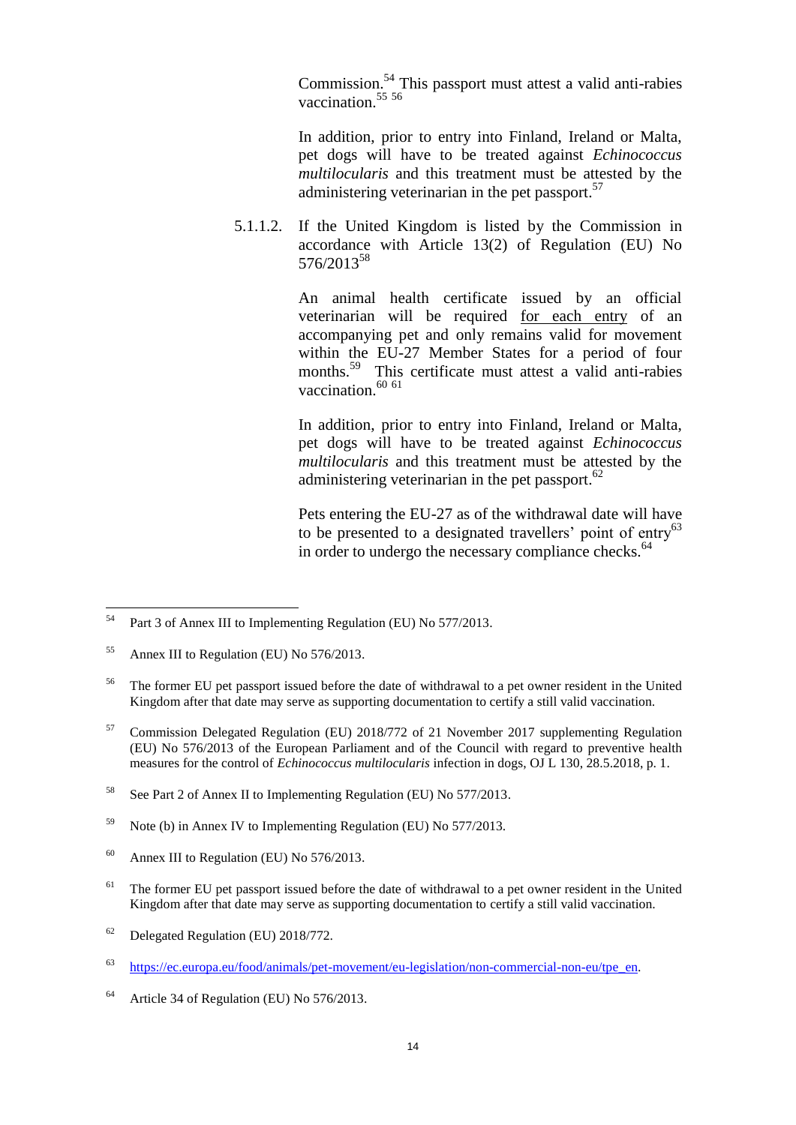Commission.<sup>54</sup> This passport must attest a valid anti-rabies vaccination.<sup>55</sup>

In addition, prior to entry into Finland, Ireland or Malta, pet dogs will have to be treated against *Echinococcus multilocularis* and this treatment must be attested by the administering veterinarian in the pet passport.<sup>57</sup>

<span id="page-13-0"></span>5.1.1.2. If the United Kingdom is listed by the Commission in accordance with Article 13(2) of Regulation (EU) No 576/2013<sup>58</sup>

> An animal health certificate issued by an official veterinarian will be required for each entry of an accompanying pet and only remains valid for movement within the EU-27 Member States for a period of four months.<sup>59</sup> This certificate must attest a valid anti-rabies vaccination.<sup>60 61</sup>

> In addition, prior to entry into Finland, Ireland or Malta, pet dogs will have to be treated against *Echinococcus multilocularis* and this treatment must be attested by the administering veterinarian in the pet passport. $62$

> Pets entering the EU-27 as of the withdrawal date will have to be presented to a designated travellers' point of entry<sup>63</sup> in order to undergo the necessary compliance checks.<sup>64</sup>

- $61$  The former EU pet passport issued before the date of withdrawal to a pet owner resident in the United Kingdom after that date may serve as supporting documentation to certify a still valid vaccination.
- <sup>62</sup> Delegated Regulation (EU) 2018/772.

<sup>54</sup> Part 3 of Annex III to Implementing Regulation (EU) No 577/2013.

<sup>&</sup>lt;sup>55</sup> Annex III to Regulation (EU) No 576/2013.

<sup>&</sup>lt;sup>56</sup> The former EU pet passport issued before the date of withdrawal to a pet owner resident in the United Kingdom after that date may serve as supporting documentation to certify a still valid vaccination.

<sup>57</sup> Commission Delegated Regulation (EU) 2018/772 of 21 November 2017 supplementing Regulation (EU) No 576/2013 of the European Parliament and of the Council with regard to preventive health measures for the control of *Echinococcus multilocularis* infection in dogs, OJ L 130, 28.5.2018, p. 1.

<sup>58</sup> See Part 2 of Annex II to Implementing Regulation (EU) No 577/2013.

 $59$  Note (b) in Annex IV to Implementing Regulation (EU) No 577/2013.

<sup>&</sup>lt;sup>60</sup> Annex III to Regulation (EU) No  $576/2013$ .

<sup>63</sup> [https://ec.europa.eu/food/animals/pet-movement/eu-legislation/non-commercial-non-eu/tpe\\_en.](https://ec.europa.eu/food/animals/pet-movement/eu-legislation/non-commercial-non-eu/tpe_en)

 $64$  Article 34 of Regulation (EU) No 576/2013.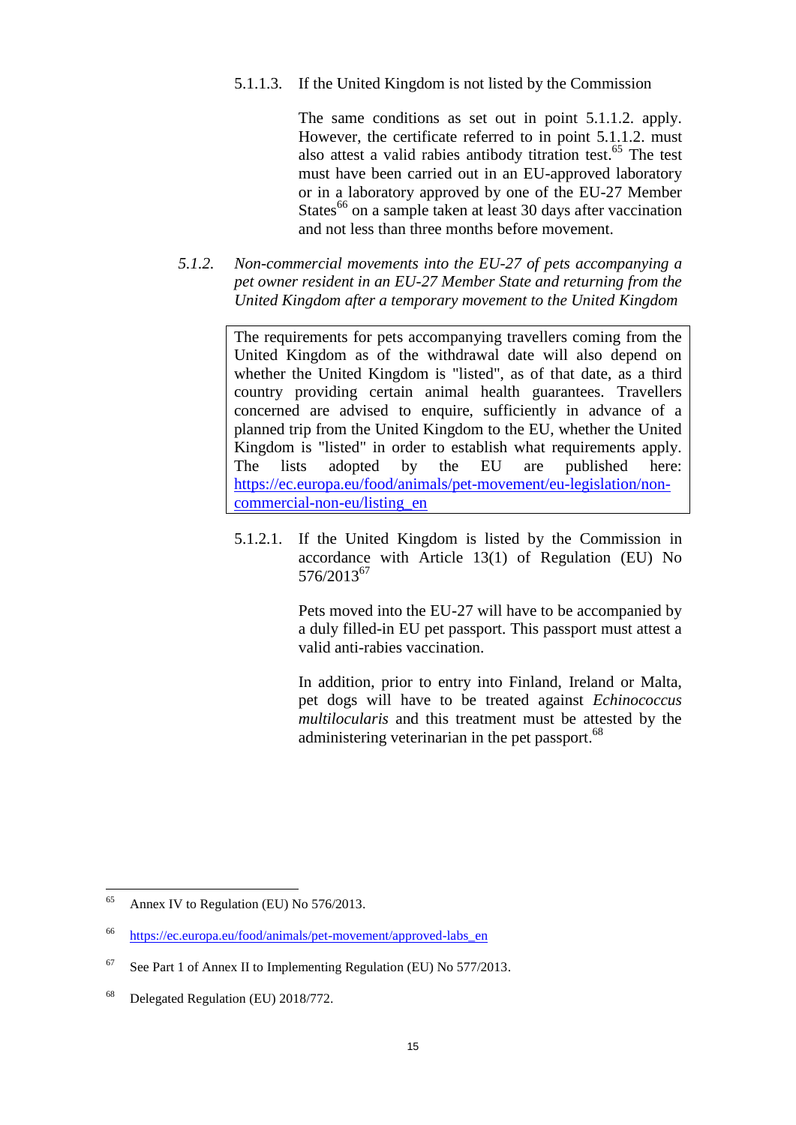### <span id="page-14-0"></span>5.1.1.3. If the United Kingdom is not listed by the Commission

The same conditions as set out in point 5.1.1.2. apply. However, the certificate referred to in point 5.1.1.2. must also attest a valid rabies antibody titration test. <sup>65</sup> The test must have been carried out in an EU-approved laboratory or in a laboratory approved by one of the EU-27 Member States<sup>66</sup> on a sample taken at least 30 days after vaccination and not less than three months before movement.

<span id="page-14-1"></span>*5.1.2. Non-commercial movements into the EU-27 of pets accompanying a pet owner resident in an EU-27 Member State and returning from the United Kingdom after a temporary movement to the United Kingdom*

> The requirements for pets accompanying travellers coming from the United Kingdom as of the withdrawal date will also depend on whether the United Kingdom is "listed", as of that date, as a third country providing certain animal health guarantees. Travellers concerned are advised to enquire, sufficiently in advance of a planned trip from the United Kingdom to the EU, whether the United Kingdom is "listed" in order to establish what requirements apply. The lists adopted by the EU are published here: [https://ec.europa.eu/food/animals/pet-movement/eu-legislation/non](https://ec.europa.eu/food/animals/pet-movement/eu-legislation/non-commercial-non-eu/listing_en)[commercial-non-eu/listing\\_en](https://ec.europa.eu/food/animals/pet-movement/eu-legislation/non-commercial-non-eu/listing_en)

> <span id="page-14-2"></span>5.1.2.1. If the United Kingdom is listed by the Commission in accordance with Article 13(1) of Regulation (EU) No 576/2013<sup>67</sup>

> > Pets moved into the EU-27 will have to be accompanied by a duly filled-in EU pet passport. This passport must attest a valid anti-rabies vaccination.

> > In addition, prior to entry into Finland, Ireland or Malta, pet dogs will have to be treated against *Echinococcus multilocularis* and this treatment must be attested by the administering veterinarian in the pet passport.<sup>68</sup>

<sup>65</sup> Annex IV to Regulation (EU) No 576/2013.

<sup>66</sup> [https://ec.europa.eu/food/animals/pet-movement/approved-labs\\_en](https://ec.europa.eu/food/animals/pet-movement/approved-labs_en)

<sup>&</sup>lt;sup>67</sup> See Part 1 of Annex II to Implementing Regulation (EU) No  $577/2013$ .

<sup>68</sup> Delegated Regulation (EU) 2018/772.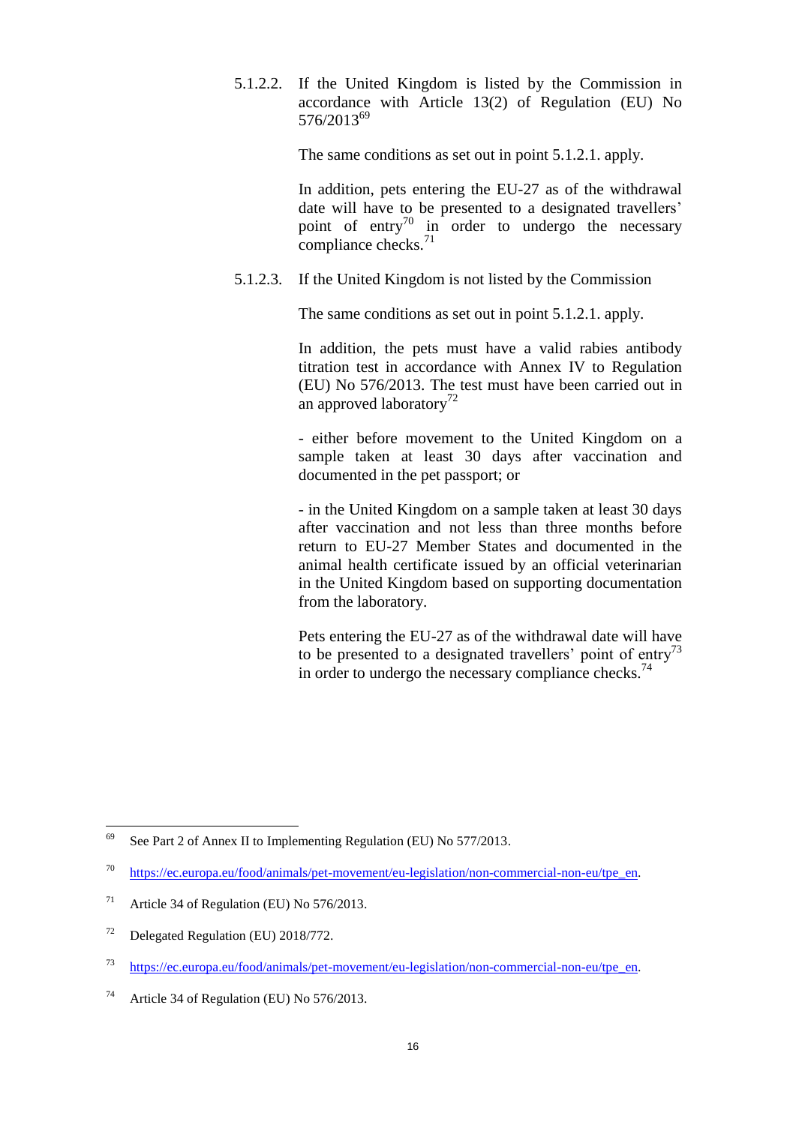<span id="page-15-0"></span>5.1.2.2. If the United Kingdom is listed by the Commission in accordance with Article 13(2) of Regulation (EU) No 576/2013<sup>69</sup>

The same conditions as set out in point 5.1.2.1. apply.

In addition, pets entering the EU-27 as of the withdrawal date will have to be presented to a designated travellers' point of entry<sup>70</sup> in order to undergo the necessary compliance checks.<sup>71</sup>

<span id="page-15-1"></span>5.1.2.3. If the United Kingdom is not listed by the Commission

The same conditions as set out in point 5.1.2.1. apply.

In addition, the pets must have a valid rabies antibody titration test in accordance with Annex IV to Regulation (EU) No 576/2013. The test must have been carried out in an approved laboratory<sup>72</sup>

- either before movement to the United Kingdom on a sample taken at least 30 days after vaccination and documented in the pet passport; or

- in the United Kingdom on a sample taken at least 30 days after vaccination and not less than three months before return to EU-27 Member States and documented in the animal health certificate issued by an official veterinarian in the United Kingdom based on supporting documentation from the laboratory.

Pets entering the EU-27 as of the withdrawal date will have to be presented to a designated travellers' point of entry<sup>73</sup> in order to undergo the necessary compliance checks.<sup>74</sup>

<sup>69</sup> See Part 2 of Annex II to Implementing Regulation (EU) No 577/2013.

<sup>70</sup> [https://ec.europa.eu/food/animals/pet-movement/eu-legislation/non-commercial-non-eu/tpe\\_en.](https://ec.europa.eu/food/animals/pet-movement/eu-legislation/non-commercial-non-eu/tpe_en)

<sup>&</sup>lt;sup>71</sup> Article 34 of Regulation (EU) No  $576/2013$ .

<sup>72</sup> Delegated Regulation (EU) 2018/772.

<sup>73</sup> [https://ec.europa.eu/food/animals/pet-movement/eu-legislation/non-commercial-non-eu/tpe\\_en.](https://ec.europa.eu/food/animals/pet-movement/eu-legislation/non-commercial-non-eu/tpe_en)

<sup>74</sup> Article 34 of Regulation (EU) No 576/2013.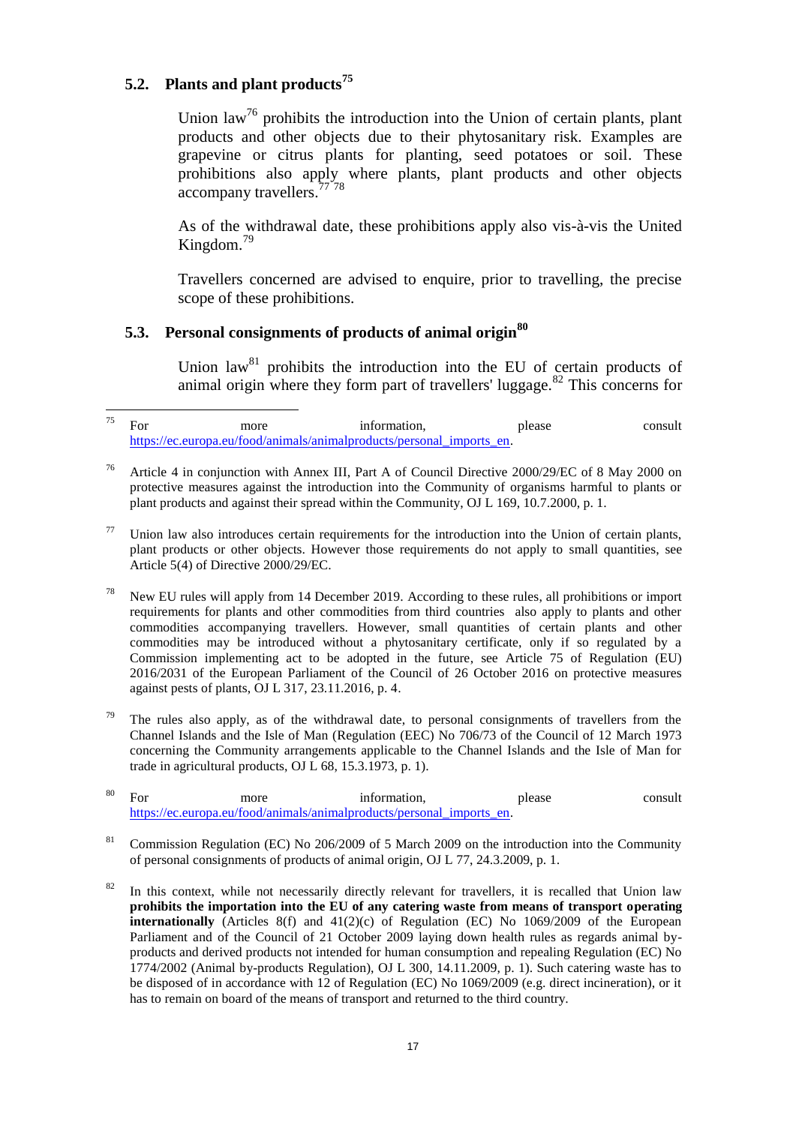# <span id="page-16-0"></span>**5.2. Plants and plant products<sup>75</sup>**

Union law<sup>76</sup> prohibits the introduction into the Union of certain plants, plant products and other objects due to their phytosanitary risk. Examples are grapevine or citrus plants for planting, seed potatoes or soil. These prohibitions also apply where plants, plant products and other objects accompany travellers.<sup>77</sup>78

As of the withdrawal date, these prohibitions apply also vis-à-vis the United Kingdom.<sup>79</sup>

Travellers concerned are advised to enquire, prior to travelling, the precise scope of these prohibitions.

# <span id="page-16-1"></span>**5.3. Personal consignments of products of animal origin<sup>80</sup>**

Union  $law<sup>81</sup>$  prohibits the introduction into the EU of certain products of animal origin where they form part of travellers' luggage. $82$  This concerns for

<sup>78</sup> New EU rules will apply from 14 December 2019. According to these rules, all prohibitions or import requirements for plants and other commodities from third countries also apply to plants and other commodities accompanying travellers. However, small quantities of certain plants and other commodities may be introduced without a phytosanitary certificate, only if so regulated by a Commission implementing act to be adopted in the future, see Article 75 of Regulation (EU) 2016/2031 of the European Parliament of the Council of 26 October 2016 on protective measures against pests of plants, OJ L 317, 23.11.2016, p. 4.

The rules also apply, as of the withdrawal date, to personal consignments of travellers from the Channel Islands and the Isle of Man (Regulation (EEC) No 706/73 of the Council of 12 March 1973 concerning the Community arrangements applicable to the Channel Islands and the Isle of Man for trade in agricultural products, OJ L 68, 15.3.1973, p. 1).

| 80 | more                                                                  | information. | please | consult |
|----|-----------------------------------------------------------------------|--------------|--------|---------|
|    | https://ec.europa.eu/food/animals/animalproducts/personal imports en. |              |        |         |

- <sup>81</sup> Commission Regulation (EC) No 206/2009 of 5 March 2009 on the introduction into the Community of personal consignments of products of animal origin, OJ L 77, 24.3.2009, p. 1.
- <sup>82</sup> In this context, while not necessarily directly relevant for travellers, it is recalled that Union law **prohibits the importation into the EU of any catering waste from means of transport operating internationally** (Articles  $8(f)$  and  $41(2)(c)$  of Regulation (EC) No 1069/2009 of the European Parliament and of the Council of 21 October 2009 laying down health rules as regards animal byproducts and derived products not intended for human consumption and repealing Regulation (EC) No 1774/2002 (Animal by-products Regulation), OJ L 300, 14.11.2009, p. 1). Such catering waste has to be disposed of in accordance with 12 of Regulation (EC) No 1069/2009 (e.g. direct incineration), or it has to remain on board of the means of transport and returned to the third country.

<sup>75</sup>  $75$  For more information, please consult [https://ec.europa.eu/food/animals/animalproducts/personal\\_imports\\_en.](https://ec.europa.eu/food/animals/animalproducts/personal_imports_en)

<sup>76</sup> Article 4 in conjunction with Annex III, Part A of Council Directive 2000/29/EC of 8 May 2000 on protective measures against the introduction into the Community of organisms harmful to plants or plant products and against their spread within the Community, OJ L 169, 10.7.2000, p. 1.

Union law also introduces certain requirements for the introduction into the Union of certain plants, plant products or other objects. However those requirements do not apply to small quantities, see Article 5(4) of Directive 2000/29/EC.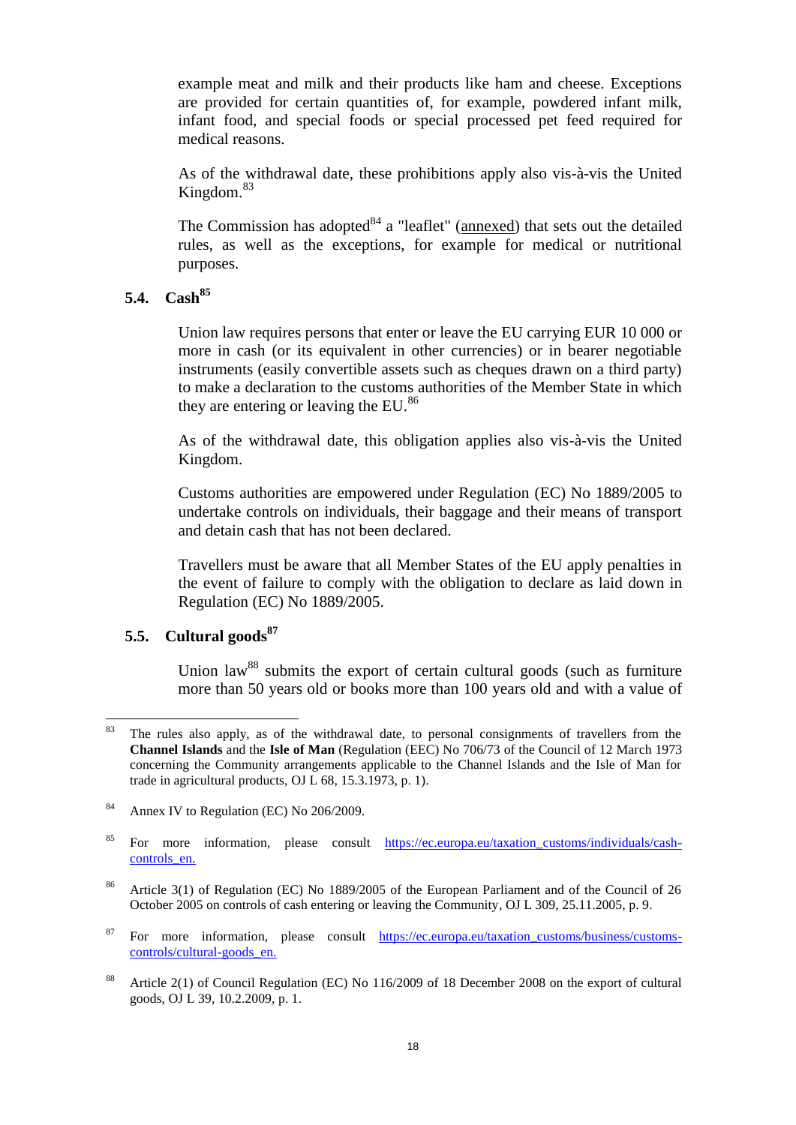example meat and milk and their products like ham and cheese. Exceptions are provided for certain quantities of, for example, powdered infant milk, infant food, and special foods or special processed pet feed required for medical reasons.

As of the withdrawal date, these prohibitions apply also vis-à-vis the United Kingdom.<sup>83</sup>

The Commission has adopted  $84$  a "leaflet" (annexed) that sets out the detailed rules, as well as the exceptions, for example for medical or nutritional purposes.

### <span id="page-17-0"></span>**5.4. Cash<sup>85</sup>**

Union law requires persons that enter or leave the EU carrying EUR 10 000 or more in cash (or its equivalent in other currencies) or in bearer negotiable instruments (easily convertible assets such as cheques drawn on a third party) to make a declaration to the customs authorities of the Member State in which they are entering or leaving the EU.<sup>86</sup>

As of the withdrawal date, this obligation applies also vis-à-vis the United Kingdom.

Customs authorities are empowered under Regulation (EC) No 1889/2005 to undertake controls on individuals, their baggage and their means of transport and detain cash that has not been declared.

Travellers must be aware that all Member States of the EU apply penalties in the event of failure to comply with the obligation to declare as laid down in Regulation (EC) No 1889/2005.

# <span id="page-17-1"></span>**5.5. Cultural goods<sup>87</sup>**

Union law<sup>88</sup> submits the export of certain cultural goods (such as furniture more than 50 years old or books more than 100 years old and with a value of

- <sup>86</sup> Article 3(1) of Regulation (EC) No 1889/2005 of the European Parliament and of the Council of 26 October 2005 on controls of cash entering or leaving the Community, OJ L 309, 25.11.2005, p. 9.
- <sup>87</sup> For more information, please consult https://ec.europa.eu/taxation\_customs/business/customscontrols/cultural-goods\_en.
- <sup>88</sup> Article 2(1) of Council Regulation (EC) No 116/2009 of 18 December 2008 on the export of cultural goods, OJ L 39, 10.2.2009, p. 1.

<sup>83</sup> The rules also apply, as of the withdrawal date, to personal consignments of travellers from the **Channel Islands** and the **Isle of Man** (Regulation (EEC) No 706/73 of the Council of 12 March 1973 concerning the Community arrangements applicable to the Channel Islands and the Isle of Man for trade in agricultural products, OJ L 68, 15.3.1973, p. 1).

<sup>&</sup>lt;sup>84</sup> Annex IV to Regulation (EC) No 206/2009.

<sup>&</sup>lt;sup>85</sup> For more information, please consult [https://ec.europa.eu/taxation\\_customs/individuals/cash](https://ec.europa.eu/taxation_customs/individuals/cash-controls_en)[controls\\_en.](https://ec.europa.eu/taxation_customs/individuals/cash-controls_en)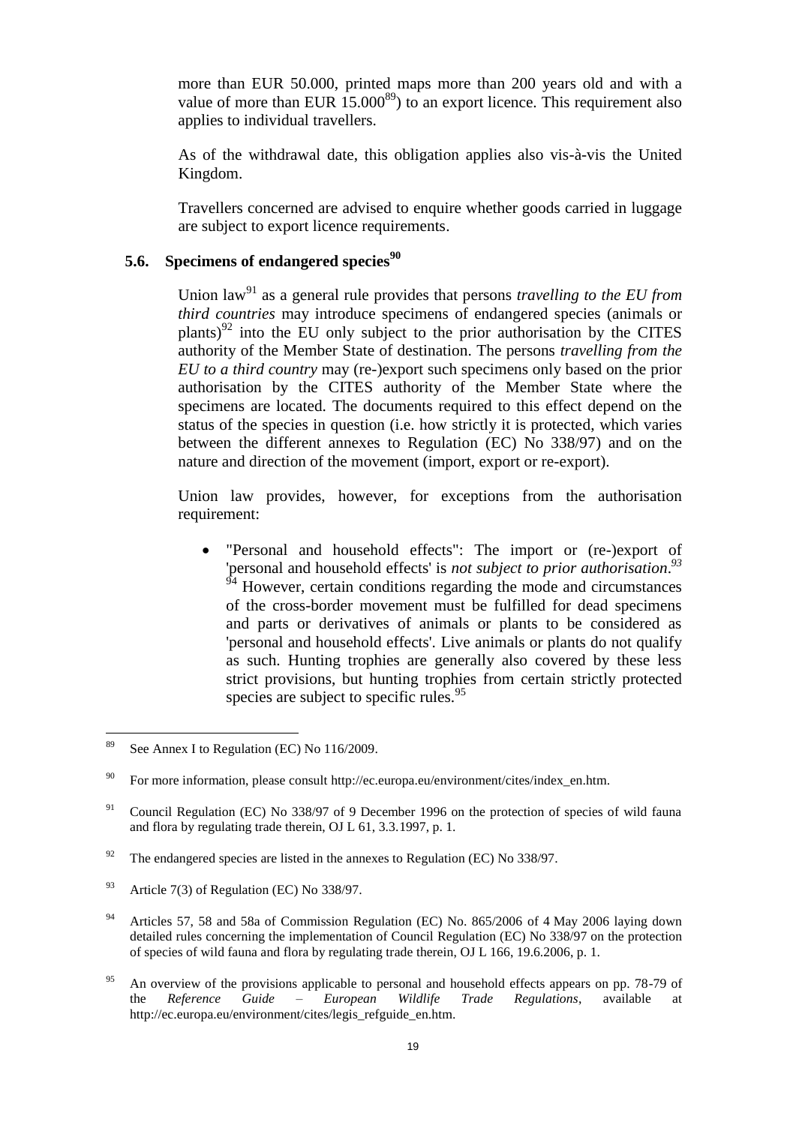more than EUR 50.000, printed maps more than 200 years old and with a value of more than EUR  $15.000^{89}$  to an export licence. This requirement also applies to individual travellers.

As of the withdrawal date, this obligation applies also vis-à-vis the United Kingdom.

Travellers concerned are advised to enquire whether goods carried in luggage are subject to export licence requirements.

# <span id="page-18-0"></span>**5.6. Specimens of endangered species<sup>90</sup>**

Union law<sup>91</sup> as a general rule provides that persons *travelling to the EU from third countries* may introduce specimens of endangered species (animals or plants) $92$  into the EU only subject to the prior authorisation by the CITES authority of the Member State of destination. The persons *travelling from the EU to a third country* may (re-)export such specimens only based on the prior authorisation by the CITES authority of the Member State where the specimens are located. The documents required to this effect depend on the status of the species in question (i.e. how strictly it is protected, which varies between the different annexes to Regulation (EC) No 338/97) and on the nature and direction of the movement (import, export or re-export).

Union law provides, however, for exceptions from the authorisation requirement:

 "Personal and household effects": The import or (re-)export of 'personal and household effects' is *not subject to prior authorisation*. *93* However, certain conditions regarding the mode and circumstances of the cross-border movement must be fulfilled for dead specimens and parts or derivatives of animals or plants to be considered as 'personal and household effects'. Live animals or plants do not qualify as such. Hunting trophies are generally also covered by these less strict provisions, but hunting trophies from certain strictly protected species are subject to specific rules.  $95$ 

- <sup>94</sup> Articles 57, 58 and 58a of Commission Regulation (EC) No. 865/2006 of 4 May 2006 laying down detailed rules concerning the implementation of Council Regulation (EC) No 338/97 on the protection of species of wild fauna and flora by regulating trade therein, OJ L 166, 19.6.2006, p. 1.
- <sup>95</sup> An overview of the provisions applicable to personal and household effects appears on pp. 78-79 of the *Reference Guide – European Wildlife Trade Regulations*, available at http://ec.europa.eu/environment/cites/legis\_refguide\_en.htm.

<sup>89</sup> See Annex I to Regulation (EC) No 116/2009.

For more information, please consult http://ec.europa.eu/environment/cites/index\_en.htm.

<sup>&</sup>lt;sup>91</sup> Council Regulation (EC) No 338/97 of 9 December 1996 on the protection of species of wild fauna and flora by regulating trade therein, OJ L 61, 3.3.1997, p. 1.

<sup>&</sup>lt;sup>92</sup> The endangered species are listed in the annexes to Regulation (EC) No 338/97.

<sup>&</sup>lt;sup>93</sup> Article 7(3) of Regulation (EC) No 338/97.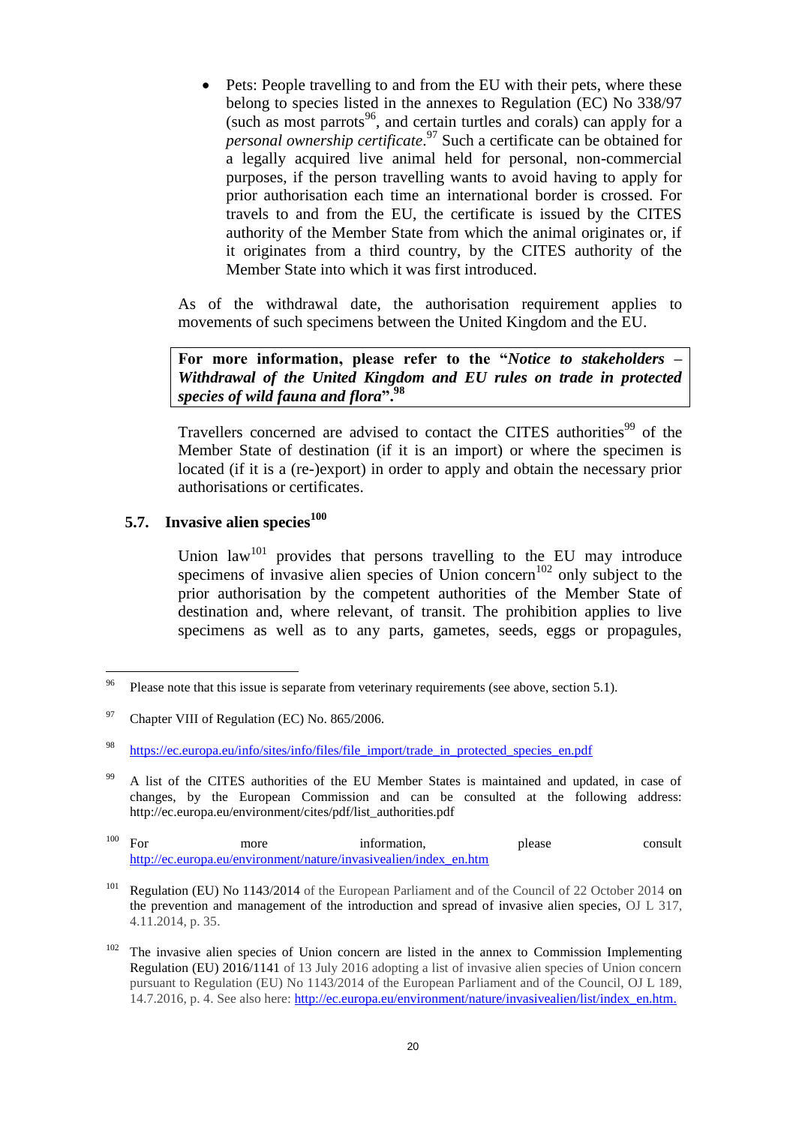Pets: People travelling to and from the EU with their pets, where these belong to species listed in the annexes to Regulation (EC) No 338/97 (such as most parrots<sup>96</sup>, and certain turtles and corals) can apply for a *personal ownership certificate*. <sup>97</sup> Such a certificate can be obtained for a legally acquired live animal held for personal, non-commercial purposes, if the person travelling wants to avoid having to apply for prior authorisation each time an international border is crossed. For travels to and from the EU, the certificate is issued by the CITES authority of the Member State from which the animal originates or, if it originates from a third country, by the CITES authority of the Member State into which it was first introduced.

As of the withdrawal date, the authorisation requirement applies to movements of such specimens between the United Kingdom and the EU.

**For more information, please refer to the "***Notice to stakeholders – Withdrawal of the United Kingdom and EU rules on trade in protected species of wild fauna and flora***".<sup>98</sup>**

Travellers concerned are advised to contact the CITES authorities<sup>99</sup> of the Member State of destination (if it is an import) or where the specimen is located (if it is a (re-)export) in order to apply and obtain the necessary prior authorisations or certificates.

### <span id="page-19-0"></span>**5.7. Invasive alien species<sup>100</sup>**

Union law<sup>101</sup> provides that persons travelling to the EU may introduce specimens of invasive alien species of Union concern<sup>102</sup> only subject to the prior authorisation by the competent authorities of the Member State of destination and, where relevant, of transit. The prohibition applies to live specimens as well as to any parts, gametes, seeds, eggs or propagules,

<sup>96</sup> Please note that this issue is separate from veterinary requirements (see above, section 5.1).

 $97$  Chapter VIII of Regulation (EC) No. 865/2006.

<sup>98</sup> [https://ec.europa.eu/info/sites/info/files/file\\_import/trade\\_in\\_protected\\_species\\_en.pdf](https://ec.europa.eu/info/sites/info/files/file_import/trade_in_protected_species_en.pdf)

<sup>&</sup>lt;sup>99</sup> A list of the CITES authorities of the EU Member States is maintained and updated, in case of changes, by the European Commission and can be consulted at the following address: http://ec.europa.eu/environment/cites/pdf/list\_authorities.pdf

<sup>&</sup>lt;sup>100</sup> For more information, please consult [http://ec.europa.eu/environment/nature/invasivealien/index\\_en.htm](http://ec.europa.eu/environment/nature/invasivealien/index_en.htm)

<sup>&</sup>lt;sup>101</sup> Regulation (EU) No 1143/2014 of the European Parliament and of the Council of 22 October 2014 on the prevention and management of the introduction and spread of invasive alien species, OJ L 317, 4.11.2014, p. 35.

<sup>&</sup>lt;sup>102</sup> The invasive alien species of Union concern are listed in the annex to Commission Implementing Regulation (EU) 2016/1141 of 13 July 2016 adopting a list of invasive alien species of Union concern pursuant to Regulation (EU) No 1143/2014 of the European Parliament and of the Council, OJ L 189, 14.7.2016, p. 4. See also here: [http://ec.europa.eu/environment/nature/invasivealien/list/index\\_en.htm.](http://ec.europa.eu/environment/nature/invasivealien/list/index_en.htm)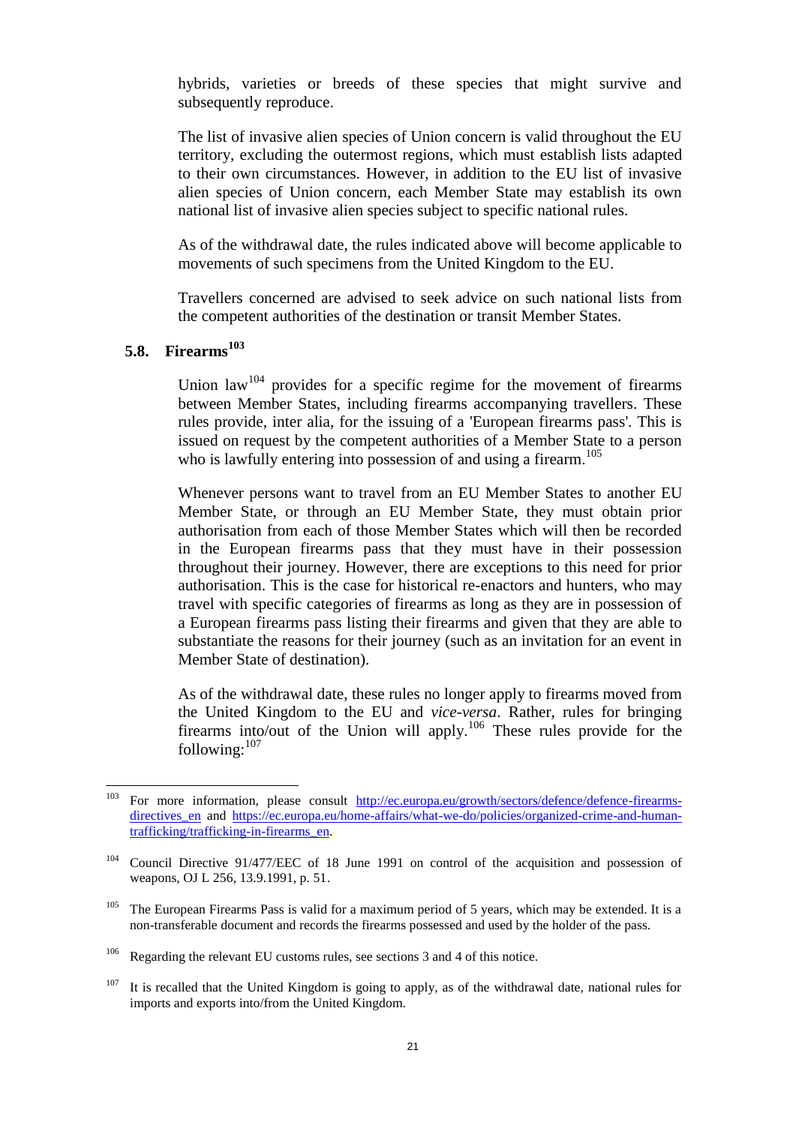hybrids, varieties or breeds of these species that might survive and subsequently reproduce.

The list of invasive alien species of Union concern is valid throughout the EU territory, excluding the outermost regions, which must establish lists adapted to their own circumstances. However, in addition to the EU list of invasive alien species of Union concern, each Member State may establish its own national list of invasive alien species subject to specific national rules.

As of the withdrawal date, the rules indicated above will become applicable to movements of such specimens from the United Kingdom to the EU.

Travellers concerned are advised to seek advice on such national lists from the competent authorities of the destination or transit Member States.

# <span id="page-20-0"></span>**5.8. Firearms<sup>103</sup>**

Union  $\text{law}^{104}$  provides for a specific regime for the movement of firearms between Member States, including firearms accompanying travellers. These rules provide, inter alia, for the issuing of a 'European firearms pass'. This is issued on request by the competent authorities of a Member State to a person who is lawfully entering into possession of and using a firearm.<sup>105</sup>

Whenever persons want to travel from an EU Member States to another EU Member State, or through an EU Member State, they must obtain prior authorisation from each of those Member States which will then be recorded in the European firearms pass that they must have in their possession throughout their journey. However, there are exceptions to this need for prior authorisation. This is the case for historical re-enactors and hunters, who may travel with specific categories of firearms as long as they are in possession of a European firearms pass listing their firearms and given that they are able to substantiate the reasons for their journey (such as an invitation for an event in Member State of destination).

As of the withdrawal date, these rules no longer apply to firearms moved from the United Kingdom to the EU and *vice-versa*. Rather, rules for bringing firearms into/out of the Union will apply.<sup>106</sup> These rules provide for the following: $107$ 

<sup>103</sup> For more information, please consult [http://ec.europa.eu/growth/sectors/defence/defence-firearms](http://ec.europa.eu/growth/sectors/defence/defence-firearms-directives_en)[directives\\_en](http://ec.europa.eu/growth/sectors/defence/defence-firearms-directives_en) and [https://ec.europa.eu/home-affairs/what-we-do/policies/organized-crime-and-human](https://ec.europa.eu/home-affairs/what-we-do/policies/organized-crime-and-human-trafficking/trafficking-in-firearms_en)[trafficking/trafficking-in-firearms\\_en.](https://ec.europa.eu/home-affairs/what-we-do/policies/organized-crime-and-human-trafficking/trafficking-in-firearms_en)

<sup>&</sup>lt;sup>104</sup> Council Directive 91/477/EEC of 18 June 1991 on control of the acquisition and possession of weapons, OJ L 256, 13.9.1991, p. 51.

<sup>&</sup>lt;sup>105</sup> The European Firearms Pass is valid for a maximum period of 5 years, which may be extended. It is a non-transferable document and records the firearms possessed and used by the holder of the pass.

<sup>&</sup>lt;sup>106</sup> Regarding the relevant EU customs rules, see sections 3 and 4 of this notice.

 $107$  It is recalled that the United Kingdom is going to apply, as of the withdrawal date, national rules for imports and exports into/from the United Kingdom.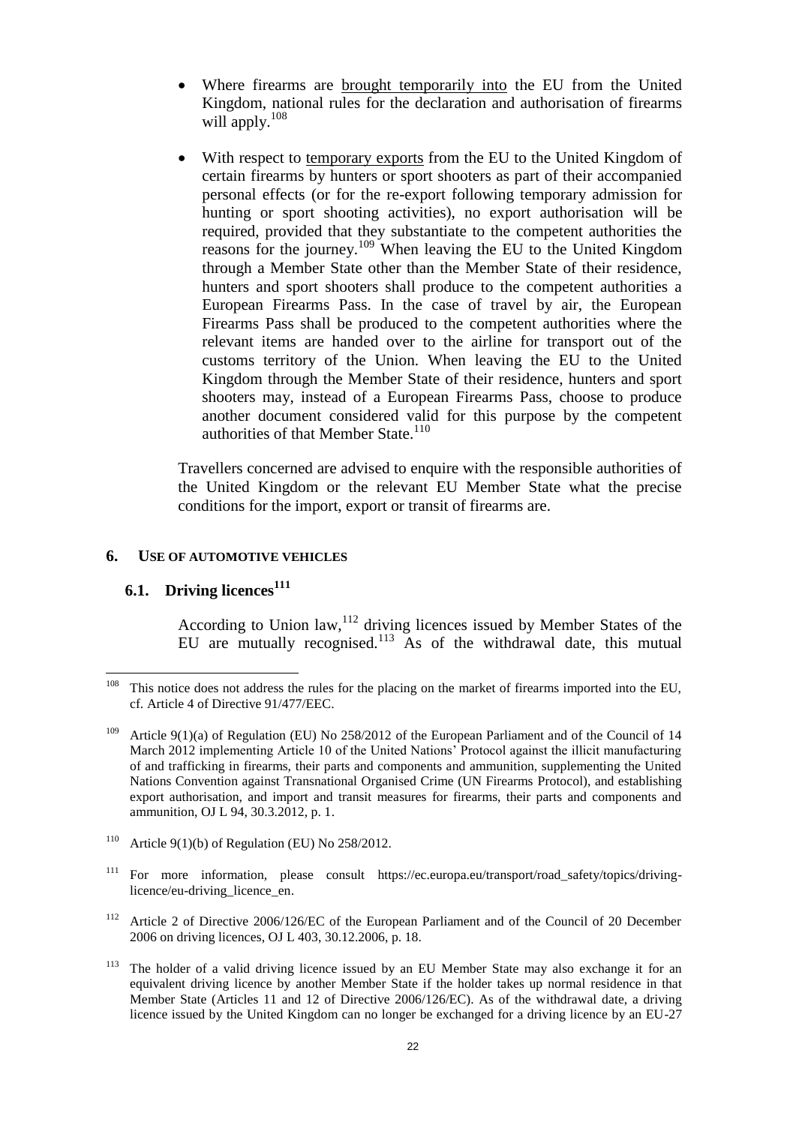- Where firearms are brought temporarily into the EU from the United Kingdom, national rules for the declaration and authorisation of firearms will apply.<sup>108</sup>
- With respect to temporary exports from the EU to the United Kingdom of certain firearms by hunters or sport shooters as part of their accompanied personal effects (or for the re-export following temporary admission for hunting or sport shooting activities), no export authorisation will be required, provided that they substantiate to the competent authorities the reasons for the journey.<sup>109</sup> When leaving the EU to the United Kingdom through a Member State other than the Member State of their residence, hunters and sport shooters shall produce to the competent authorities a European Firearms Pass. In the case of travel by air, the European Firearms Pass shall be produced to the competent authorities where the relevant items are handed over to the airline for transport out of the customs territory of the Union. When leaving the EU to the United Kingdom through the Member State of their residence, hunters and sport shooters may, instead of a European Firearms Pass, choose to produce another document considered valid for this purpose by the competent authorities of that Member State.<sup>110</sup>

Travellers concerned are advised to enquire with the responsible authorities of the United Kingdom or the relevant EU Member State what the precise conditions for the import, export or transit of firearms are.

#### <span id="page-21-0"></span>**6. USE OF AUTOMOTIVE VEHICLES**

#### <span id="page-21-1"></span>**6.1. Driving licences<sup>111</sup>**

According to Union law,  $112$  driving licences issued by Member States of the EU are mutually recognised. $113$  As of the withdrawal date, this mutual

<sup>108</sup> This notice does not address the rules for the placing on the market of firearms imported into the EU, cf. Article 4 of Directive 91/477/EEC.

<sup>&</sup>lt;sup>109</sup> Article 9(1)(a) of Regulation (EU) No 258/2012 of the European Parliament and of the Council of 14 March 2012 implementing Article 10 of the United Nations' Protocol against the illicit manufacturing of and trafficking in firearms, their parts and components and ammunition, supplementing the United Nations Convention against Transnational Organised Crime (UN Firearms Protocol), and establishing export authorisation, and import and transit measures for firearms, their parts and components and ammunition, OJ L 94, 30.3.2012, p. 1.

<sup>&</sup>lt;sup>110</sup> Article 9(1)(b) of Regulation (EU) No 258/2012.

<sup>&</sup>lt;sup>111</sup> For more information, please consult https://ec.europa.eu/transport/road\_safety/topics/drivinglicence/eu-driving licence en.

<sup>&</sup>lt;sup>112</sup> Article 2 of Directive 2006/126/EC of the European Parliament and of the Council of 20 December 2006 on driving licences, OJ L 403, 30.12.2006, p. 18.

<sup>&</sup>lt;sup>113</sup> The holder of a valid driving licence issued by an EU Member State may also exchange it for an equivalent driving licence by another Member State if the holder takes up normal residence in that Member State (Articles 11 and 12 of Directive 2006/126/EC). As of the withdrawal date, a driving licence issued by the United Kingdom can no longer be exchanged for a driving licence by an EU-27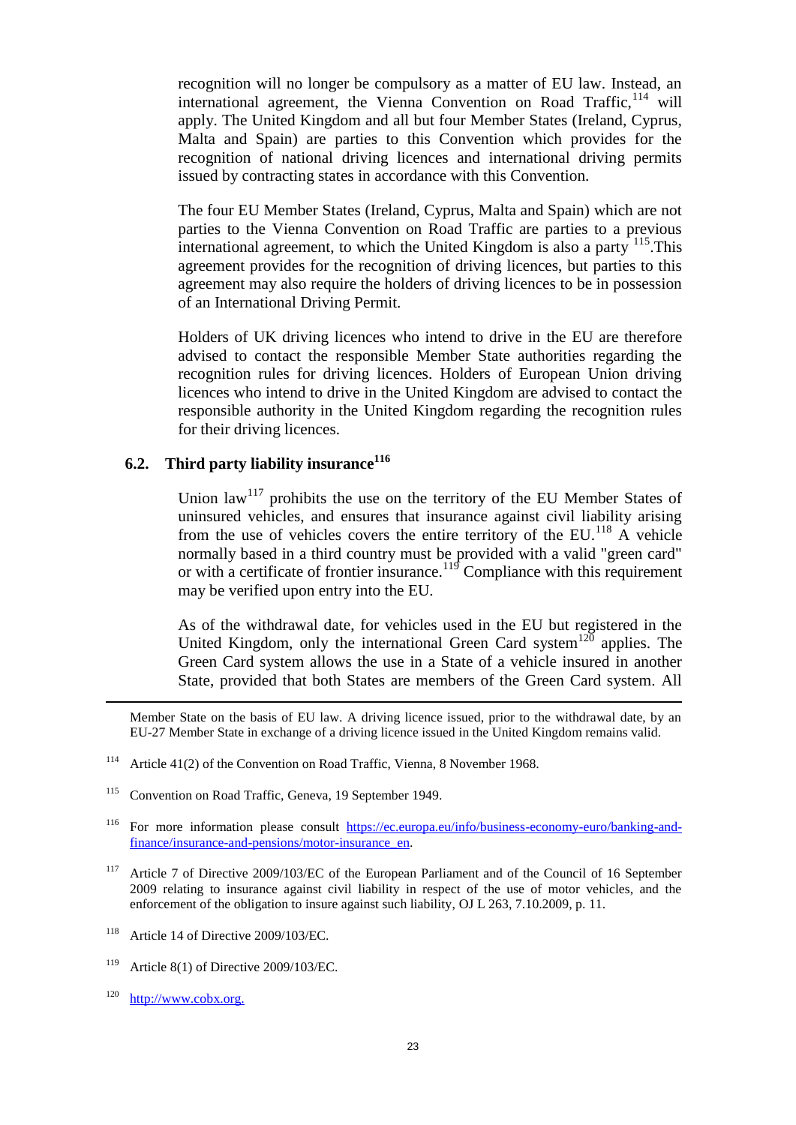recognition will no longer be compulsory as a matter of EU law. Instead, an international agreement, the Vienna Convention on Road Traffic,  $114$  will apply. The United Kingdom and all but four Member States (Ireland, Cyprus, Malta and Spain) are parties to this Convention which provides for the recognition of national driving licences and international driving permits issued by contracting states in accordance with this Convention.

The four EU Member States (Ireland, Cyprus, Malta and Spain) which are not parties to the Vienna Convention on Road Traffic are parties to a previous international agreement, to which the United Kingdom is also a party  $^{115}$ . This agreement provides for the recognition of driving licences, but parties to this agreement may also require the holders of driving licences to be in possession of an International Driving Permit.

Holders of UK driving licences who intend to drive in the EU are therefore advised to contact the responsible Member State authorities regarding the recognition rules for driving licences. Holders of European Union driving licences who intend to drive in the United Kingdom are advised to contact the responsible authority in the United Kingdom regarding the recognition rules for their driving licences.

# <span id="page-22-0"></span>**6.2. Third party liability insurance<sup>116</sup>**

Union  $\text{law}^{117}$  prohibits the use on the territory of the EU Member States of uninsured vehicles, and ensures that insurance against civil liability arising from the use of vehicles covers the entire territory of the  $EU^{118}$  A vehicle normally based in a third country must be provided with a valid "green card" or with a certificate of frontier insurance.<sup>119</sup> Compliance with this requirement may be verified upon entry into the EU.

As of the withdrawal date, for vehicles used in the EU but registered in the United Kingdom, only the international Green Card system<sup>120</sup> applies. The Green Card system allows the use in a State of a vehicle insured in another State, provided that both States are members of the Green Card system. All

Member State on the basis of EU law. A driving licence issued, prior to the withdrawal date, by an EU-27 Member State in exchange of a driving licence issued in the United Kingdom remains valid.

<sup>115</sup> Convention on Road Traffic, Geneva, 19 September 1949.

- <sup>117</sup> Article 7 of Directive 2009/103/EC of the European Parliament and of the Council of 16 September 2009 relating to insurance against civil liability in respect of the use of motor vehicles, and the enforcement of the obligation to insure against such liability, OJ L 263, 7.10.2009, p. 11.
- <sup>118</sup> Article 14 of Directive 2009/103/EC.
- <sup>119</sup> Article 8(1) of Directive 2009/103/EC.
- $120$  http://www.cobx.org.

 $\overline{a}$ 

<sup>&</sup>lt;sup>114</sup> Article 41(2) of the Convention on Road Traffic, Vienna, 8 November 1968.

<sup>&</sup>lt;sup>116</sup> For more information please consult [https://ec.europa.eu/info/business-economy-euro/banking-and](https://ec.europa.eu/info/business-economy-euro/banking-and-finance/insurance-and-pensions/motor-insurance_en)[finance/insurance-and-pensions/motor-insurance\\_en.](https://ec.europa.eu/info/business-economy-euro/banking-and-finance/insurance-and-pensions/motor-insurance_en)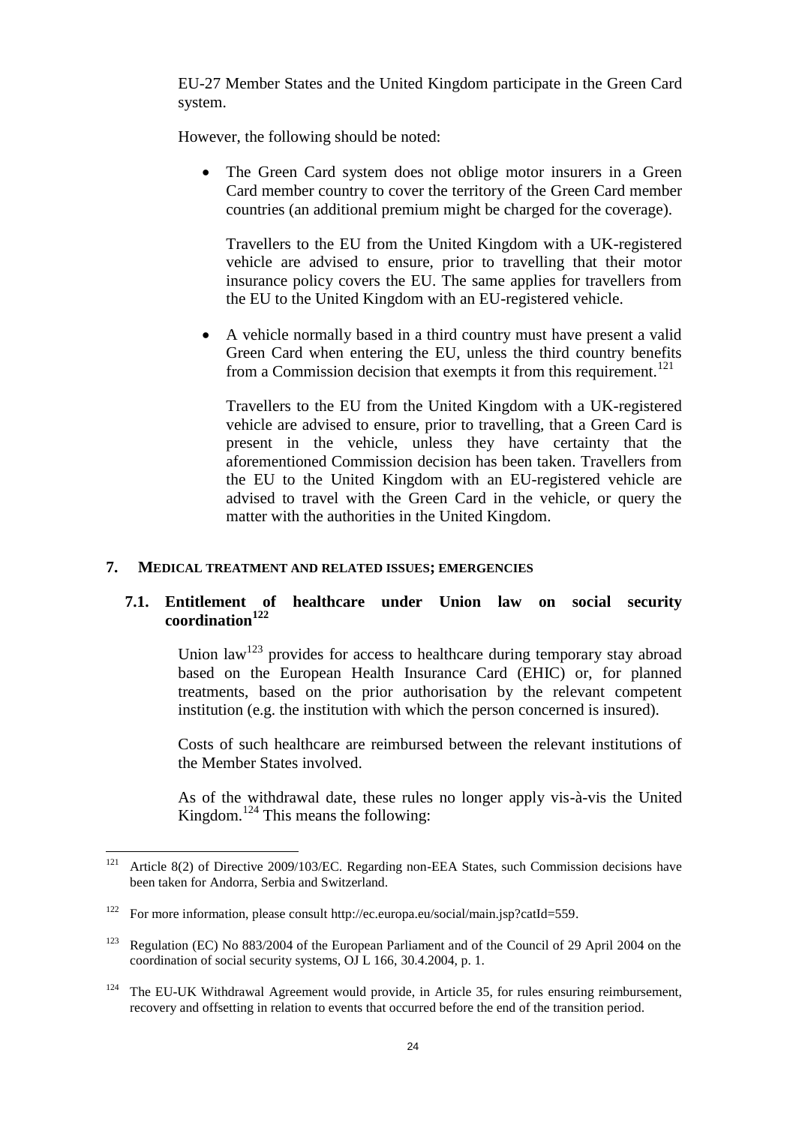EU-27 Member States and the United Kingdom participate in the Green Card system.

However, the following should be noted:

• The Green Card system does not oblige motor insurers in a Green Card member country to cover the territory of the Green Card member countries (an additional premium might be charged for the coverage).

Travellers to the EU from the United Kingdom with a UK-registered vehicle are advised to ensure, prior to travelling that their motor insurance policy covers the EU. The same applies for travellers from the EU to the United Kingdom with an EU-registered vehicle.

 A vehicle normally based in a third country must have present a valid Green Card when entering the EU, unless the third country benefits from a Commission decision that exempts it from this requirement.<sup>121</sup>

Travellers to the EU from the United Kingdom with a UK-registered vehicle are advised to ensure, prior to travelling, that a Green Card is present in the vehicle, unless they have certainty that the aforementioned Commission decision has been taken. Travellers from the EU to the United Kingdom with an EU-registered vehicle are advised to travel with the Green Card in the vehicle, or query the matter with the authorities in the United Kingdom.

#### <span id="page-23-0"></span>**7. MEDICAL TREATMENT AND RELATED ISSUES; EMERGENCIES**

### <span id="page-23-1"></span>**7.1. Entitlement of healthcare under Union law on social security coordination<sup>122</sup>**

Union  $\text{law}^{123}$  provides for access to healthcare during temporary stay abroad based on the European Health Insurance Card (EHIC) or, for planned treatments, based on the prior authorisation by the relevant competent institution (e.g. the institution with which the person concerned is insured).

Costs of such healthcare are reimbursed between the relevant institutions of the Member States involved.

As of the withdrawal date, these rules no longer apply vis-à-vis the United Kingdom.<sup>124</sup> This means the following:

 $121$ Article 8(2) of Directive 2009/103/EC. Regarding non-EEA States, such Commission decisions have been taken for Andorra, Serbia and Switzerland.

<sup>122</sup> For more information, please consult http://ec.europa.eu/social/main.jsp?catId=559.

<sup>&</sup>lt;sup>123</sup> Regulation (EC) No 883/2004 of the European Parliament and of the Council of 29 April 2004 on the coordination of social security systems, OJ L 166, 30.4.2004, p. 1.

<sup>&</sup>lt;sup>124</sup> The EU-UK Withdrawal Agreement would provide, in Article 35, for rules ensuring reimbursement, recovery and offsetting in relation to events that occurred before the end of the transition period.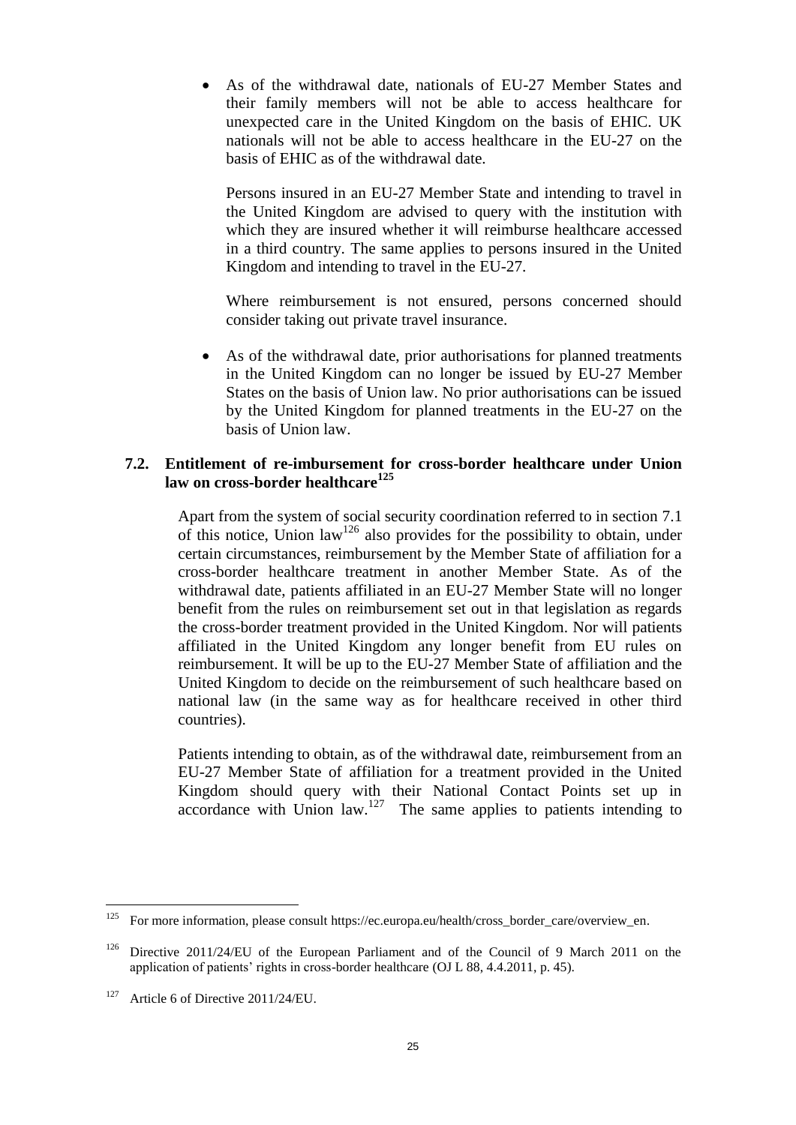As of the withdrawal date, nationals of EU-27 Member States and their family members will not be able to access healthcare for unexpected care in the United Kingdom on the basis of EHIC. UK nationals will not be able to access healthcare in the EU-27 on the basis of EHIC as of the withdrawal date.

Persons insured in an EU-27 Member State and intending to travel in the United Kingdom are advised to query with the institution with which they are insured whether it will reimburse healthcare accessed in a third country. The same applies to persons insured in the United Kingdom and intending to travel in the EU-27.

Where reimbursement is not ensured, persons concerned should consider taking out private travel insurance.

 As of the withdrawal date, prior authorisations for planned treatments in the United Kingdom can no longer be issued by EU-27 Member States on the basis of Union law. No prior authorisations can be issued by the United Kingdom for planned treatments in the EU-27 on the basis of Union law.

### <span id="page-24-0"></span>**7.2. Entitlement of re-imbursement for cross-border healthcare under Union law on cross-border healthcare<sup>125</sup>**

Apart from the system of social security coordination referred to in section 7.1 of this notice, Union law<sup>126</sup> also provides for the possibility to obtain, under certain circumstances, reimbursement by the Member State of affiliation for a cross-border healthcare treatment in another Member State. As of the withdrawal date, patients affiliated in an EU-27 Member State will no longer benefit from the rules on reimbursement set out in that legislation as regards the cross-border treatment provided in the United Kingdom. Nor will patients affiliated in the United Kingdom any longer benefit from EU rules on reimbursement. It will be up to the EU-27 Member State of affiliation and the United Kingdom to decide on the reimbursement of such healthcare based on national law (in the same way as for healthcare received in other third countries).

Patients intending to obtain, as of the withdrawal date, reimbursement from an EU-27 Member State of affiliation for a treatment provided in the United Kingdom should query with their National Contact Points set up in accordance with Union  $\text{law}$ .<sup>127</sup> The same applies to patients intending to

<sup>125</sup> For more information, please consult https://ec.europa.eu/health/cross\_border\_care/overview\_en.

<sup>&</sup>lt;sup>126</sup> Directive 2011/24/EU of the European Parliament and of the Council of 9 March 2011 on the application of patients' rights in cross-border healthcare (OJ L 88, 4.4.2011, p. 45).

<sup>&</sup>lt;sup>127</sup> Article 6 of Directive 2011/24/EU.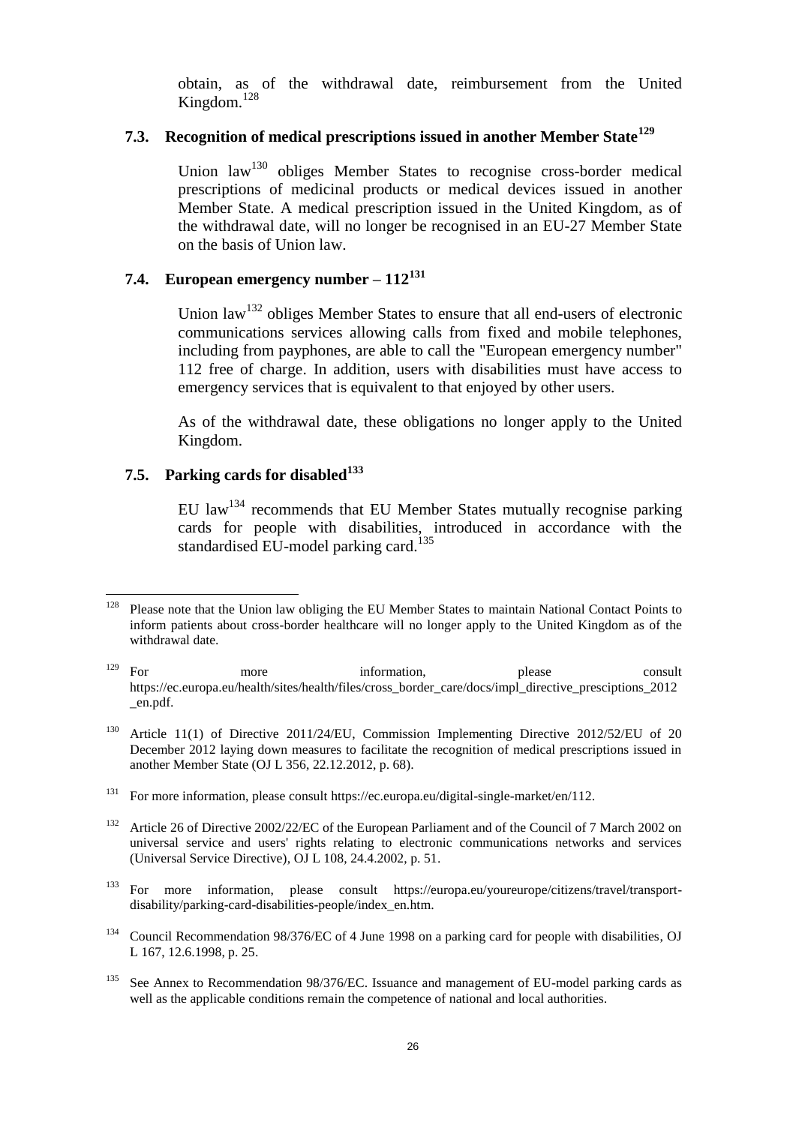obtain, as of the withdrawal date, reimbursement from the United Kingdom.<sup>128</sup>

# <span id="page-25-0"></span>**7.3. Recognition of medical prescriptions issued in another Member State<sup>129</sup>**

Union  $law<sup>130</sup>$  obliges Member States to recognise cross-border medical prescriptions of medicinal products or medical devices issued in another Member State. A medical prescription issued in the United Kingdom, as of the withdrawal date, will no longer be recognised in an EU-27 Member State on the basis of Union law.

# <span id="page-25-1"></span>**7.4. European emergency number – 112<sup>131</sup>**

Union law<sup>132</sup> obliges Member States to ensure that all end-users of electronic communications services allowing calls from fixed and mobile telephones, including from payphones, are able to call the "European emergency number" 112 free of charge. In addition, users with disabilities must have access to emergency services that is equivalent to that enjoyed by other users.

As of the withdrawal date, these obligations no longer apply to the United Kingdom.

# <span id="page-25-2"></span>**7.5. Parking cards for disabled<sup>133</sup>**

EU  $\text{law}^{134}$  recommends that EU Member States mutually recognise parking cards for people with disabilities, introduced in accordance with the standardised EU-model parking card.<sup>135</sup>

- <sup>131</sup> For more information, please consult https://ec.europa.eu/digital-single-market/en/112.
- <sup>132</sup> Article 26 of Directive 2002/22/EC of the European Parliament and of the Council of 7 March 2002 on universal service and users' rights relating to electronic communications networks and services (Universal Service Directive), OJ L 108, 24.4.2002, p. 51.
- <sup>133</sup> For more information, please consult https://europa.eu/youreurope/citizens/travel/transportdisability/parking-card-disabilities-people/index\_en.htm.
- <sup>134</sup> Council Recommendation 98/376/EC of 4 June 1998 on a parking card for people with disabilities, OJ L 167, 12.6.1998, p. 25.
- <sup>135</sup> See Annex to Recommendation 98/376/EC. Issuance and management of EU-model parking cards as well as the applicable conditions remain the competence of national and local authorities.

<sup>128</sup> <sup>128</sup> Please note that the Union law obliging the EU Member States to maintain National Contact Points to inform patients about cross-border healthcare will no longer apply to the United Kingdom as of the withdrawal date.

<sup>&</sup>lt;sup>129</sup> For more information, please consult https://ec.europa.eu/health/sites/health/files/cross\_border\_care/docs/impl\_directive\_presciptions\_2012 \_en.pdf.

<sup>&</sup>lt;sup>130</sup> Article 11(1) of Directive 2011/24/EU, Commission Implementing Directive 2012/52/EU of 20 December 2012 laying down measures to facilitate the recognition of medical prescriptions issued in another Member State (OJ L 356, 22.12.2012, p. 68).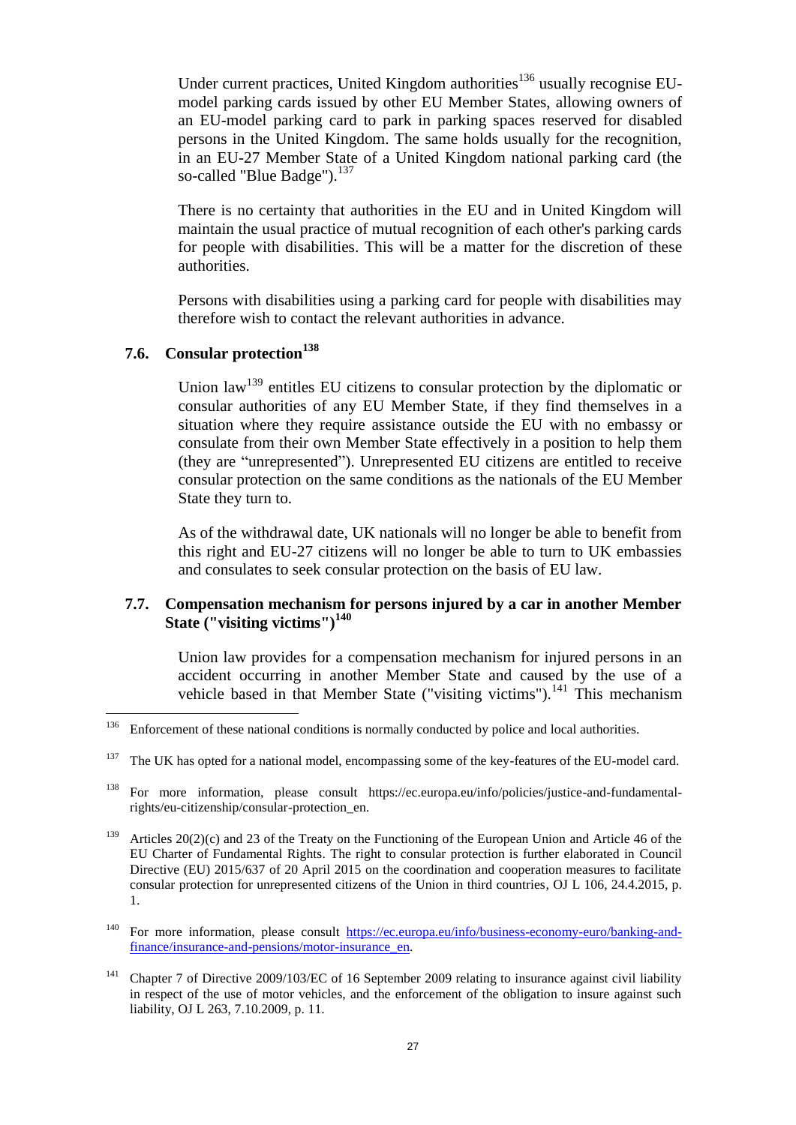Under current practices, United Kingdom authorities<sup>136</sup> usually recognise EUmodel parking cards issued by other EU Member States, allowing owners of an EU-model parking card to park in parking spaces reserved for disabled persons in the United Kingdom. The same holds usually for the recognition, in an EU-27 Member State of a United Kingdom national parking card (the so-called "Blue Badge").<sup>137</sup>

There is no certainty that authorities in the EU and in United Kingdom will maintain the usual practice of mutual recognition of each other's parking cards for people with disabilities. This will be a matter for the discretion of these authorities.

Persons with disabilities using a parking card for people with disabilities may therefore wish to contact the relevant authorities in advance.

# <span id="page-26-0"></span>**7.6. Consular protection<sup>138</sup>**

Union law<sup>139</sup> entitles EU citizens to consular protection by the diplomatic or consular authorities of any EU Member State, if they find themselves in a situation where they require assistance outside the EU with no embassy or consulate from their own Member State effectively in a position to help them (they are "unrepresented"). Unrepresented EU citizens are entitled to receive consular protection on the same conditions as the nationals of the EU Member State they turn to.

As of the withdrawal date, UK nationals will no longer be able to benefit from this right and EU-27 citizens will no longer be able to turn to UK embassies and consulates to seek consular protection on the basis of EU law.

### <span id="page-26-1"></span>**7.7. Compensation mechanism for persons injured by a car in another Member State ("visiting victims")<sup>140</sup>**

Union law provides for a compensation mechanism for injured persons in an accident occurring in another Member State and caused by the use of a vehicle based in that Member State ("visiting victims").<sup>141</sup> This mechanism

<sup>136</sup> <sup>136</sup> Enforcement of these national conditions is normally conducted by police and local authorities.

<sup>&</sup>lt;sup>137</sup> The UK has opted for a national model, encompassing some of the key-features of the EU-model card.

<sup>138</sup> For more information, please consult https://ec.europa.eu/info/policies/justice-and-fundamentalrights/eu-citizenship/consular-protection\_en.

<sup>&</sup>lt;sup>139</sup> Articles 20(2)(c) and 23 of the Treaty on the Functioning of the European Union and Article 46 of the EU Charter of Fundamental Rights. The right to consular protection is further elaborated in Council Directive (EU) 2015/637 of 20 April 2015 on the coordination and cooperation measures to facilitate consular protection for unrepresented citizens of the Union in third countries, OJ L 106, 24.4.2015, p. 1.

<sup>&</sup>lt;sup>140</sup> For more information, please consult [https://ec.europa.eu/info/business-economy-euro/banking-and](https://ec.europa.eu/info/business-economy-euro/banking-and-finance/insurance-and-pensions/motor-insurance_en)[finance/insurance-and-pensions/motor-insurance\\_en.](https://ec.europa.eu/info/business-economy-euro/banking-and-finance/insurance-and-pensions/motor-insurance_en)

<sup>141</sup> Chapter 7 of Directive 2009/103/EC of 16 September 2009 relating to insurance against civil liability in respect of the use of motor vehicles, and the enforcement of the obligation to insure against such liability, OJ L 263, 7.10.2009, p. 11.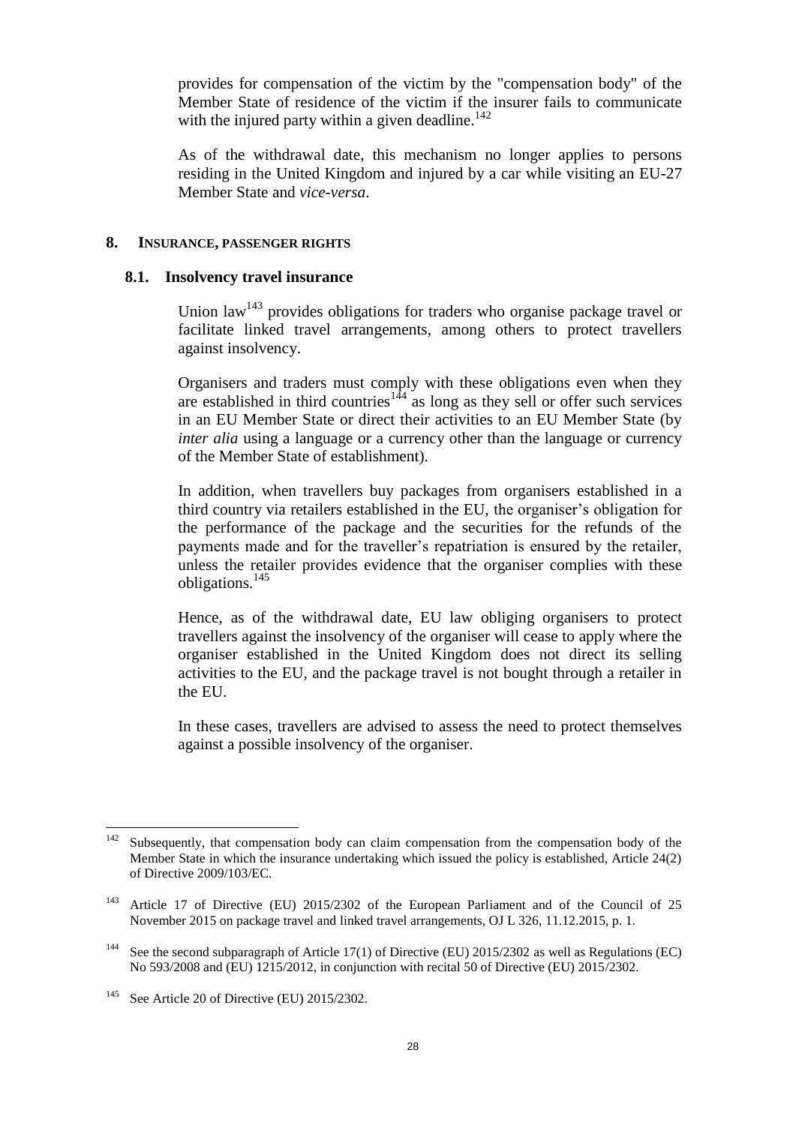provides for compensation of the victim by the "compensation body" of the Member State of residence of the victim if the insurer fails to communicate with the injured party within a given deadline.<sup>142</sup>

As of the withdrawal date, this mechanism no longer applies to persons residing in the United Kingdom and injured by a car while visiting an EU-27 Member State and *vice-versa*.

#### <span id="page-27-0"></span>**8. INSURANCE, PASSENGER RIGHTS**

#### <span id="page-27-1"></span>**8.1. Insolvency travel insurance**

Union law<sup>143</sup> provides obligations for traders who organise package travel or facilitate linked travel arrangements, among others to protect travellers against insolvency.

Organisers and traders must comply with these obligations even when they are established in third countries<sup>144</sup> as long as they sell or offer such services in an EU Member State or direct their activities to an EU Member State (by *inter alia* using a language or a currency other than the language or currency of the Member State of establishment).

In addition, when travellers buy packages from organisers established in a third country via retailers established in the EU, the organiser's obligation for the performance of the package and the securities for the refunds of the payments made and for the traveller's repatriation is ensured by the retailer, unless the retailer provides evidence that the organiser complies with these obligations.<sup>145</sup>

Hence, as of the withdrawal date, EU law obliging organisers to protect travellers against the insolvency of the organiser will cease to apply where the organiser established in the United Kingdom does not direct its selling activities to the EU, and the package travel is not bought through a retailer in the EU.

In these cases, travellers are advised to assess the need to protect themselves against a possible insolvency of the organiser.

<sup>142</sup> Subsequently, that compensation body can claim compensation from the compensation body of the Member State in which the insurance undertaking which issued the policy is established, Article 24(2) of Directive 2009/103/EC.

<sup>&</sup>lt;sup>143</sup> Article 17 of Directive (EU) 2015/2302 of the European Parliament and of the Council of 25 November 2015 on package travel and linked travel arrangements, OJ L 326, 11.12.2015, p. 1.

<sup>&</sup>lt;sup>144</sup> See the second subparagraph of Article 17(1) of Directive (EU) 2015/2302 as well as Regulations (EC) No 593/2008 and (EU) 1215/2012, in conjunction with recital 50 of Directive (EU) 2015/2302.

<sup>145</sup> See Article 20 of Directive (EU) 2015/2302.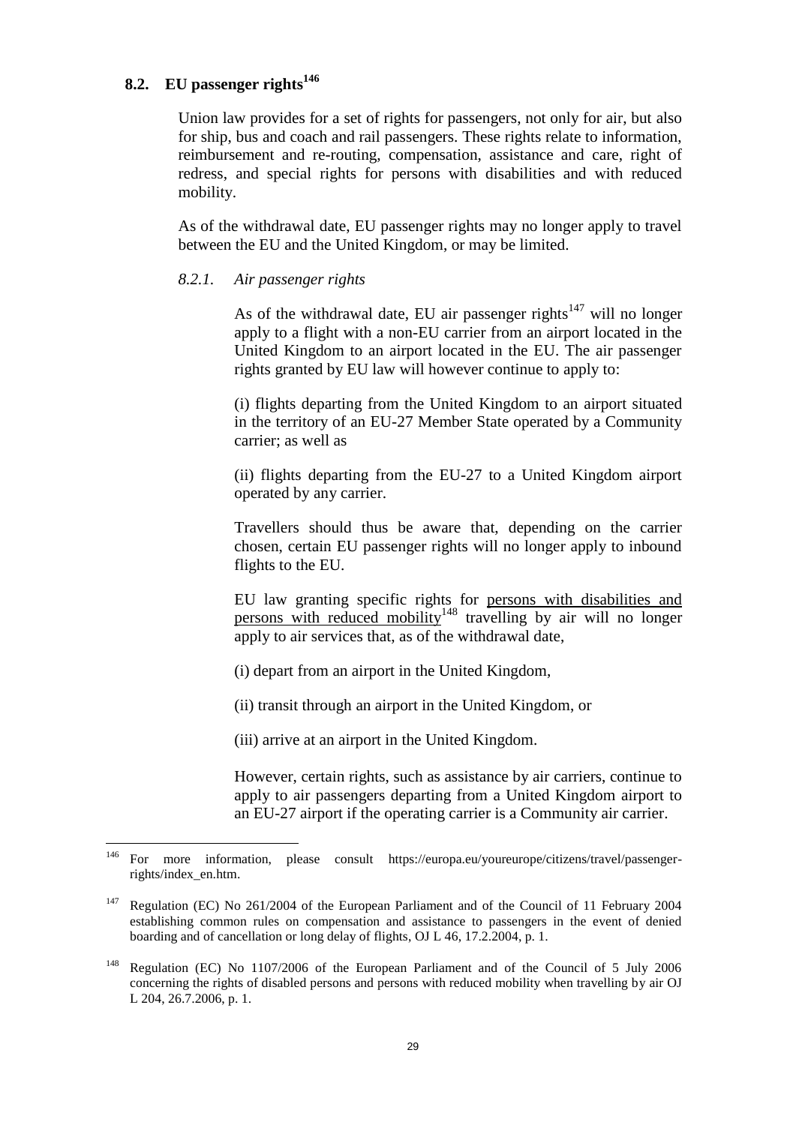### <span id="page-28-0"></span>**8.2. EU passenger rights<sup>146</sup>**

Union law provides for a set of rights for passengers, not only for air, but also for ship, bus and coach and rail passengers. These rights relate to information, reimbursement and re-routing, compensation, assistance and care, right of redress, and special rights for persons with disabilities and with reduced mobility.

As of the withdrawal date, EU passenger rights may no longer apply to travel between the EU and the United Kingdom, or may be limited.

#### <span id="page-28-1"></span>*8.2.1. Air passenger rights*

As of the withdrawal date, EU air passenger rights<sup> $147$ </sup> will no longer apply to a flight with a non-EU carrier from an airport located in the United Kingdom to an airport located in the EU. The air passenger rights granted by EU law will however continue to apply to:

(i) flights departing from the United Kingdom to an airport situated in the territory of an EU-27 Member State operated by a Community carrier; as well as

(ii) flights departing from the EU-27 to a United Kingdom airport operated by any carrier.

Travellers should thus be aware that, depending on the carrier chosen, certain EU passenger rights will no longer apply to inbound flights to the EU.

EU law granting specific rights for persons with disabilities and persons with reduced mobility<sup>148</sup> travelling by air will no longer apply to air services that, as of the withdrawal date,

(i) depart from an airport in the United Kingdom,

(ii) transit through an airport in the United Kingdom, or

(iii) arrive at an airport in the United Kingdom.

However, certain rights, such as assistance by air carriers, continue to apply to air passengers departing from a United Kingdom airport to an EU-27 airport if the operating carrier is a Community air carrier.

<sup>146</sup> <sup>146</sup> For more information, please consult https://europa.eu/youreurope/citizens/travel/passengerrights/index\_en.htm.

<sup>&</sup>lt;sup>147</sup> Regulation (EC) No 261/2004 of the European Parliament and of the Council of 11 February 2004 establishing common rules on compensation and assistance to passengers in the event of denied boarding and of cancellation or long delay of flights, OJ L 46, 17.2.2004, p. 1.

<sup>&</sup>lt;sup>148</sup> Regulation (EC) No 1107/2006 of the European Parliament and of the Council of 5 July 2006 concerning the rights of disabled persons and persons with reduced mobility when travelling by air OJ L 204, 26.7.2006, p. 1.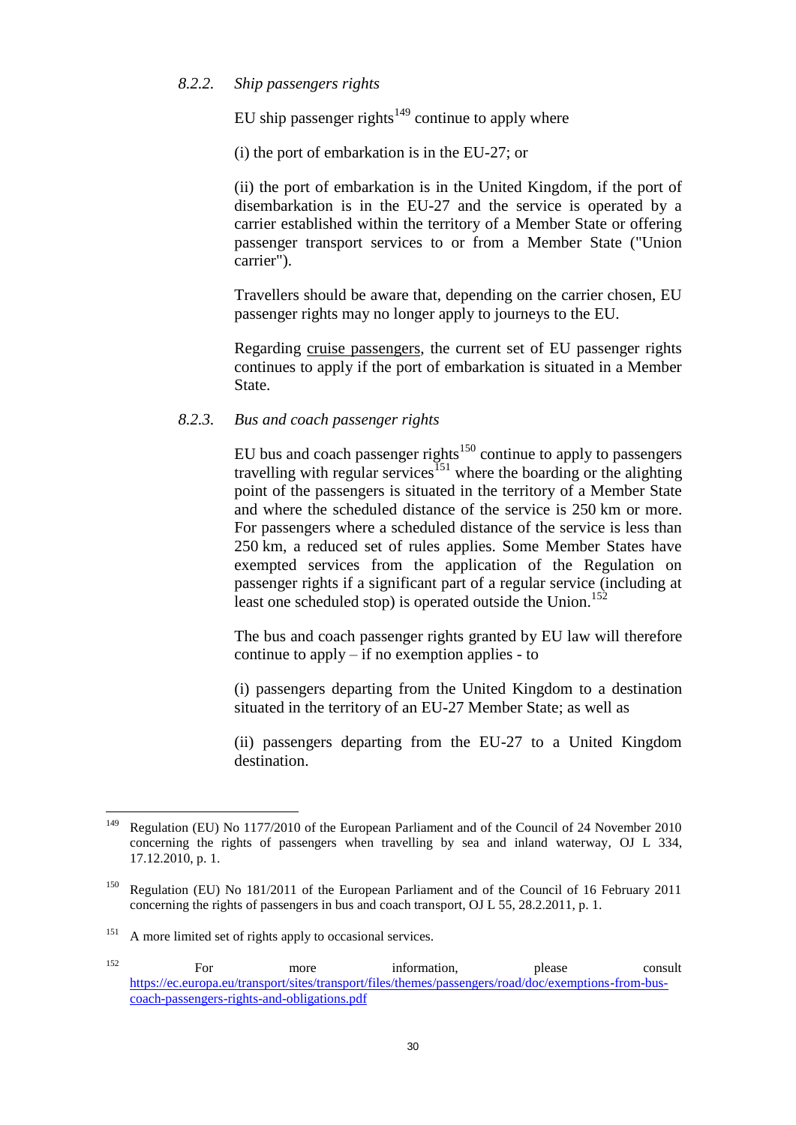### <span id="page-29-0"></span>*8.2.2. Ship passengers rights*

EU ship passenger rights<sup>149</sup> continue to apply where

(i) the port of embarkation is in the EU-27; or

(ii) the port of embarkation is in the United Kingdom, if the port of disembarkation is in the EU-27 and the service is operated by a carrier established within the territory of a Member State or offering passenger transport services to or from a Member State ("Union carrier").

Travellers should be aware that, depending on the carrier chosen, EU passenger rights may no longer apply to journeys to the EU.

Regarding cruise passengers, the current set of EU passenger rights continues to apply if the port of embarkation is situated in a Member State.

#### <span id="page-29-1"></span>*8.2.3. Bus and coach passenger rights*

EU bus and coach passenger rights<sup>150</sup> continue to apply to passengers travelling with regular services<sup>151</sup> where the boarding or the alighting point of the passengers is situated in the territory of a Member State and where the scheduled distance of the service is 250 km or more. For passengers where a scheduled distance of the service is less than 250 km, a reduced set of rules applies. Some Member States have exempted services from the application of the Regulation on passenger rights if a significant part of a regular service (including at least one scheduled stop) is operated outside the Union.<sup>152</sup>

The bus and coach passenger rights granted by EU law will therefore continue to apply – if no exemption applies - to

(i) passengers departing from the United Kingdom to a destination situated in the territory of an EU-27 Member State; as well as

(ii) passengers departing from the EU-27 to a United Kingdom destination.

<sup>149</sup> <sup>149</sup> Regulation (EU) No 1177/2010 of the European Parliament and of the Council of 24 November 2010 concerning the rights of passengers when travelling by sea and inland waterway, OJ L 334, 17.12.2010, p. 1.

<sup>&</sup>lt;sup>150</sup> Regulation (EU) No 181/2011 of the European Parliament and of the Council of 16 February 2011 concerning the rights of passengers in bus and coach transport, OJ L 55, 28.2.2011, p. 1.

<sup>&</sup>lt;sup>151</sup> A more limited set of rights apply to occasional services.

<sup>&</sup>lt;sup>152</sup> For more information, please consult [https://ec.europa.eu/transport/sites/transport/files/themes/passengers/road/doc/exemptions-from-bus](https://ec.europa.eu/transport/sites/transport/files/themes/passengers/road/doc/exemptions-from-bus-coach-passengers-rights-and-obligations.pdf)[coach-passengers-rights-and-obligations.pdf](https://ec.europa.eu/transport/sites/transport/files/themes/passengers/road/doc/exemptions-from-bus-coach-passengers-rights-and-obligations.pdf)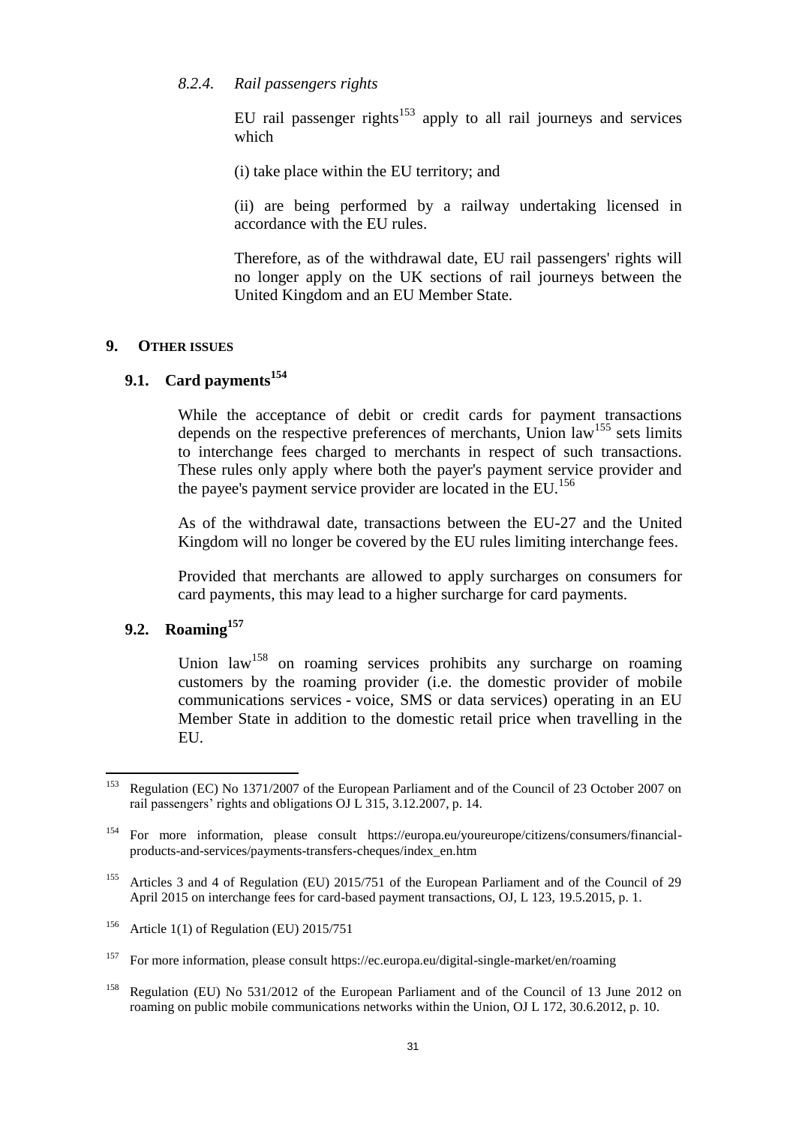#### <span id="page-30-0"></span>*8.2.4. Rail passengers rights*

EU rail passenger rights<sup>153</sup> apply to all rail journeys and services which

(i) take place within the EU territory; and

(ii) are being performed by a railway undertaking licensed in accordance with the EU rules.

Therefore, as of the withdrawal date, EU rail passengers' rights will no longer apply on the UK sections of rail journeys between the United Kingdom and an EU Member State.

#### <span id="page-30-1"></span>**9. OTHER ISSUES**

# <span id="page-30-2"></span>**9.1. Card payments<sup>154</sup>**

While the acceptance of debit or credit cards for payment transactions depends on the respective preferences of merchants, Union  $law<sup>155</sup>$  sets limits to interchange fees charged to merchants in respect of such transactions. These rules only apply where both the payer's payment service provider and the payee's payment service provider are located in the  $EU<sup>156</sup>$ 

As of the withdrawal date, transactions between the EU-27 and the United Kingdom will no longer be covered by the EU rules limiting interchange fees.

Provided that merchants are allowed to apply surcharges on consumers for card payments, this may lead to a higher surcharge for card payments.

### <span id="page-30-3"></span>**9.2. Roaming<sup>157</sup>**

Union law<sup>158</sup> on roaming services prohibits any surcharge on roaming customers by the roaming provider (i.e. the domestic provider of mobile communications services - voice, SMS or data services) operating in an EU Member State in addition to the domestic retail price when travelling in the EU.

<sup>153</sup> <sup>153</sup> Regulation (EC) No 1371/2007 of the European Parliament and of the Council of 23 October 2007 on rail passengers' rights and obligations OJ L 315, 3.12.2007, p. 14.

<sup>154</sup> For more information, please consult https://europa.eu/youreurope/citizens/consumers/financialproducts-and-services/payments-transfers-cheques/index\_en.htm

<sup>&</sup>lt;sup>155</sup> Articles 3 and 4 of Regulation (EU) 2015/751 of the European Parliament and of the Council of 29 April 2015 on interchange fees for card-based payment transactions, OJ, L 123, 19.5.2015, p. 1.

<sup>&</sup>lt;sup>156</sup> Article 1(1) of Regulation (EU) 2015/751

<sup>&</sup>lt;sup>157</sup> For more information, please consult https://ec.europa.eu/digital-single-market/en/roaming

<sup>&</sup>lt;sup>158</sup> Regulation (EU) No 531/2012 of the European Parliament and of the Council of 13 June 2012 on roaming on public mobile communications networks within the Union, OJ L 172, 30.6.2012, p. 10.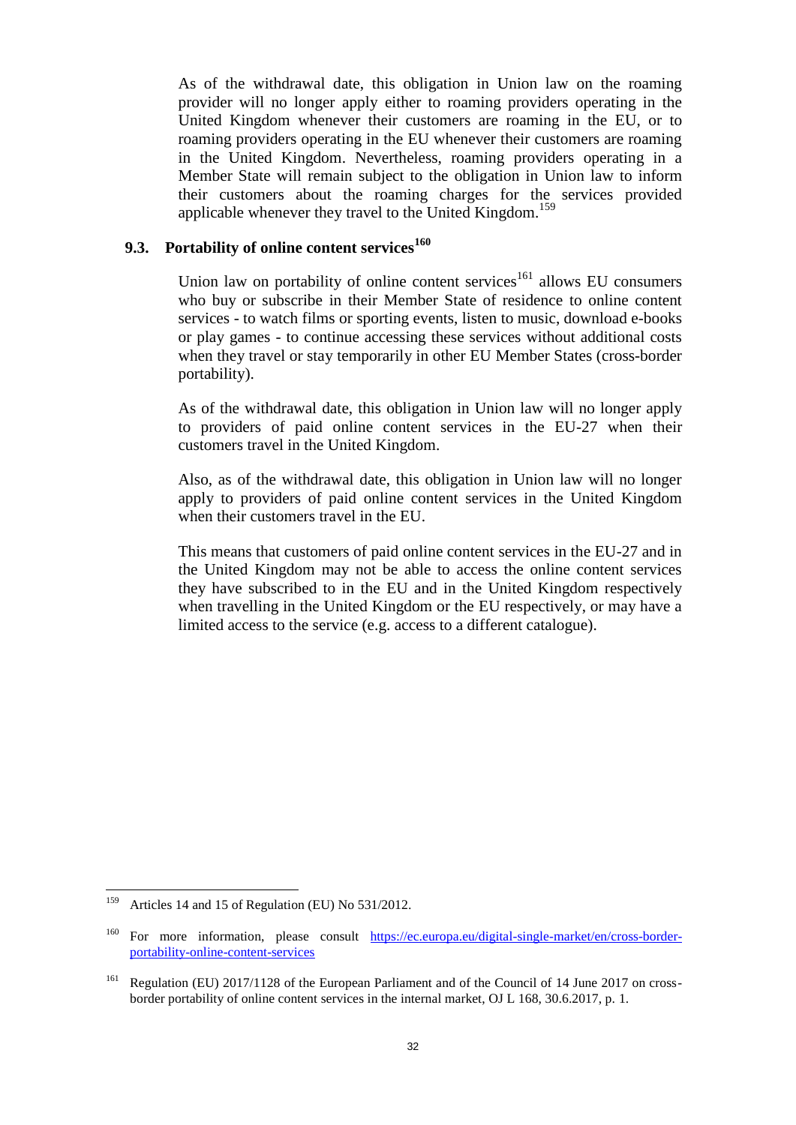As of the withdrawal date, this obligation in Union law on the roaming provider will no longer apply either to roaming providers operating in the United Kingdom whenever their customers are roaming in the EU, or to roaming providers operating in the EU whenever their customers are roaming in the United Kingdom. Nevertheless, roaming providers operating in a Member State will remain subject to the obligation in Union law to inform their customers about the roaming charges for the services provided applicable whenever they travel to the United Kingdom.<sup>159</sup>

# <span id="page-31-0"></span>**9.3. Portability of online content services<sup>160</sup>**

Union law on portability of online content services $161$  allows EU consumers who buy or subscribe in their Member State of residence to online content services - to watch films or sporting events, listen to music, download e-books or play games - to continue accessing these services without additional costs when they travel or stay temporarily in other EU Member States (cross-border portability).

As of the withdrawal date, this obligation in Union law will no longer apply to providers of paid online content services in the EU-27 when their customers travel in the United Kingdom.

Also, as of the withdrawal date, this obligation in Union law will no longer apply to providers of paid online content services in the United Kingdom when their customers travel in the EU.

This means that customers of paid online content services in the EU-27 and in the United Kingdom may not be able to access the online content services they have subscribed to in the EU and in the United Kingdom respectively when travelling in the United Kingdom or the EU respectively, or may have a limited access to the service (e.g. access to a different catalogue).

<sup>159</sup> Articles 14 and 15 of Regulation (EU) No 531/2012.

<sup>&</sup>lt;sup>160</sup> For more information, please consult [https://ec.europa.eu/digital-single-market/en/cross-border](https://ec.europa.eu/digital-single-market/en/cross-border-portability-online-content-services)[portability-online-content-services](https://ec.europa.eu/digital-single-market/en/cross-border-portability-online-content-services)

<sup>&</sup>lt;sup>161</sup> Regulation (EU) 2017/1128 of the European Parliament and of the Council of 14 June 2017 on crossborder portability of online content services in the internal market, OJ L 168, 30.6.2017, p. 1.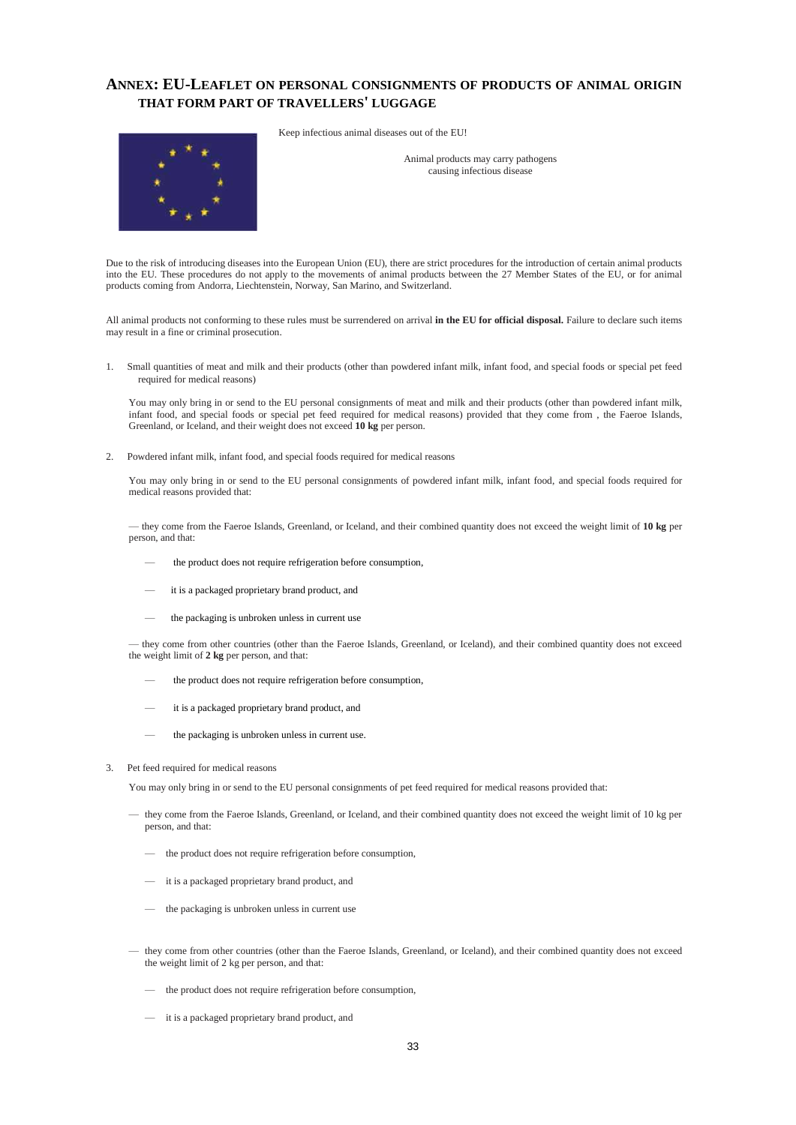#### <span id="page-32-0"></span>**ANNEX: EU-LEAFLET ON PERSONAL CONSIGNMENTS OF PRODUCTS OF ANIMAL ORIGIN THAT FORM PART OF TRAVELLERS' LUGGAGE**



Keep infectious animal diseases out of the EU!

Animal products may carry pathogens causing infectious disease

Due to the risk of introducing diseases into the European Union (EU), there are strict procedures for the introduction of certain animal products into the EU. These procedures do not apply to the movements of animal products between the 27 Member States of the EU, or for animal products coming from Andorra, Liechtenstein, Norway, San Marino, and Switzerland.

All animal products not conforming to these rules must be surrendered on arrival **in the EU for official disposal.** Failure to declare such items may result in a fine or criminal prosecution.

1. Small quantities of meat and milk and their products (other than powdered infant milk, infant food, and special foods or special pet feed required for medical reasons)

You may only bring in or send to the EU personal consignments of meat and milk and their products (other than powdered infant milk, infant food, and special foods or special pet feed required for medical reasons) provided that they come from , the Faeroe Islands, Greenland, or Iceland, and their weight does not exceed **10 kg** per person.

2. Powdered infant milk, infant food, and special foods required for medical reasons

You may only bring in or send to the EU personal consignments of powdered infant milk, infant food, and special foods required for medical reasons provided that:

— they come from the Faeroe Islands, Greenland, or Iceland, and their combined quantity does not exceed the weight limit of **10 kg** per person, and that:

- the product does not require refrigeration before consumption,
- it is a packaged proprietary brand product, and
- the packaging is unbroken unless in current use

— they come from other countries (other than the Faeroe Islands, Greenland, or Iceland), and their combined quantity does not exceed the weight limit of **2 kg** per person, and that:

- the product does not require refrigeration before consumption,
- it is a packaged proprietary brand product, and
- the packaging is unbroken unless in current use.
- 3. Pet feed required for medical reasons

You may only bring in or send to the EU personal consignments of pet feed required for medical reasons provided that:

- they come from the Faeroe Islands, Greenland, or Iceland, and their combined quantity does not exceed the weight limit of 10 kg per person, and that:
	- the product does not require refrigeration before consumption,
	- it is a packaged proprietary brand product, and
	- the packaging is unbroken unless in current use
- they come from other countries (other than the Faeroe Islands, Greenland, or Iceland), and their combined quantity does not exceed the weight limit of 2 kg per person, and that:
	- the product does not require refrigeration before consumption,
	- it is a packaged proprietary brand product, and